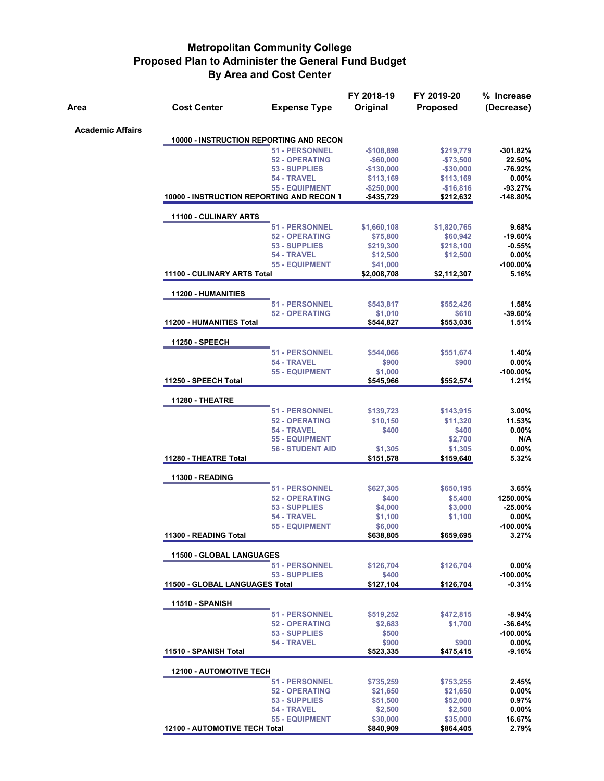| Area                    | <b>Cost Center</b>                        | <b>Expense Type</b>     | FY 2018-19<br>Original | FY 2019-20<br><b>Proposed</b> | % Increase<br>(Decrease) |
|-------------------------|-------------------------------------------|-------------------------|------------------------|-------------------------------|--------------------------|
| <b>Academic Affairs</b> |                                           |                         |                        |                               |                          |
|                         | 10000 - INSTRUCTION REPORTING AND RECON   |                         |                        |                               |                          |
|                         |                                           | 51 - PERSONNEL          | -\$108,898             | \$219,779                     | -301.82%                 |
|                         |                                           | <b>52 - OPERATING</b>   | $-$ \$60,000           | $- $73,500$                   | 22.50%                   |
|                         |                                           | 53 - SUPPLIES           | -\$130,000             | $- $30,000$                   | -76.92%                  |
|                         |                                           | 54 - TRAVEL             | \$113,169              | \$113,169                     | 0.00%                    |
|                         |                                           | <b>55 - EQUIPMENT</b>   | $-$250,000$            | $-$16,816$                    | $-93.27%$                |
|                         | 10000 - INSTRUCTION REPORTING AND RECON T |                         | -\$435,729             | \$212,632                     | $-148.80%$               |
|                         | <b>11100 - CULINARY ARTS</b>              |                         |                        |                               |                          |
|                         |                                           | 51 - PERSONNEL          | \$1,660,108            | \$1,820,765                   | 9.68%                    |
|                         |                                           | <b>52 - OPERATING</b>   | \$75,800               | \$60,942                      | $-19.60%$                |
|                         |                                           | 53 - SUPPLIES           | \$219,300              | \$218,100                     | $-0.55%$                 |
|                         |                                           | 54 - TRAVEL             | \$12,500               | \$12,500                      | $0.00\%$                 |
|                         |                                           | <b>55 - EQUIPMENT</b>   | \$41,000               |                               | -100.00%                 |
|                         | 11100 - CULINARY ARTS Total               |                         | \$2,008,708            | \$2,112,307                   | 5.16%                    |
|                         | 11200 - HUMANITIES                        |                         |                        |                               |                          |
|                         |                                           | 51 - PERSONNEL          | \$543,817              | \$552,426                     | 1.58%                    |
|                         |                                           | <b>52 - OPERATING</b>   | \$1,010                | \$610                         | $-39.60\%$               |
|                         | <b>11200 - HUMANITIES Total</b>           |                         | \$544,827              | \$553,036                     | 1.51%                    |
|                         | 11250 - SPEECH                            |                         |                        |                               |                          |
|                         |                                           | <b>51 - PERSONNEL</b>   | \$544,066              | \$551,674                     | 1.40%                    |
|                         |                                           | 54 - TRAVEL             | \$900                  | \$900                         | 0.00%                    |
|                         |                                           | <b>55 - EQUIPMENT</b>   | \$1,000                |                               | -100.00%                 |
|                         | 11250 - SPEECH Total                      |                         | \$545,966              | \$552,574                     | 1.21%                    |
|                         | 11280 - THEATRE                           |                         |                        |                               |                          |
|                         |                                           | 51 - PERSONNEL          | \$139,723              | \$143,915                     | $3.00\%$                 |
|                         |                                           | <b>52 - OPERATING</b>   | \$10,150               | \$11,320                      | 11.53%                   |
|                         |                                           | 54 - TRAVEL             | \$400                  | \$400                         | 0.00%                    |
|                         |                                           | 55 - EQUIPMENT          |                        | \$2,700                       | N/A                      |
|                         |                                           | <b>56 - STUDENT AID</b> | \$1,305                | \$1,305                       | 0.00%                    |
|                         | 11280 - THEATRE Total                     |                         | \$151,578              | \$159,640                     | 5.32%                    |
|                         | <b>11300 - READING</b>                    |                         |                        |                               |                          |
|                         |                                           | <b>51 - PERSONNEL</b>   | \$627,305              | \$650,195                     | 3.65%                    |
|                         |                                           | <b>52 - OPERATING</b>   | \$400                  | \$5,400                       | 1250.00%                 |
|                         |                                           | 53 - SUPPLIES           | \$4,000                | \$3,000                       | $-25.00%$                |
|                         |                                           | 54 - TRAVEL             | \$1,100                | \$1,100                       | $0.00\%$                 |
|                         |                                           | <b>55 - EQUIPMENT</b>   | \$6,000                |                               | $-100.00\%$              |
|                         | 11300 - READING Total                     |                         | \$638,805              | \$659,695                     | 3.27%                    |
|                         | 11500 - GLOBAL LANGUAGES                  |                         |                        |                               |                          |
|                         |                                           | <b>51 - PERSONNEL</b>   | \$126,704              | \$126,704                     | $0.00\%$                 |
|                         |                                           | 53 - SUPPLIES           | \$400                  |                               | $-100.00\%$              |
|                         | 11500 - GLOBAL LANGUAGES Total            |                         | \$127,104              | \$126,704                     | $-0.31%$                 |
|                         | <b>11510 - SPANISH</b>                    |                         |                        |                               |                          |
|                         |                                           | 51 - PERSONNEL          | \$519,252              | \$472,815                     | $-8.94%$                 |
|                         |                                           | <b>52 - OPERATING</b>   | \$2,683                | \$1,700                       | $-36.64%$                |
|                         |                                           | 53 - SUPPLIES           | \$500                  |                               | $-100.00\%$              |
|                         |                                           | 54 - TRAVEL             | \$900                  | \$900                         | $0.00\%$                 |
|                         | 11510 - SPANISH Total                     |                         | \$523,335              | \$475,415                     | $-9.16%$                 |
|                         | <b>12100 - AUTOMOTIVE TECH</b>            |                         |                        |                               |                          |
|                         |                                           | <b>51 - PERSONNEL</b>   | \$735,259              | \$753,255                     | 2.45%                    |
|                         |                                           | <b>52 - OPERATING</b>   | \$21,650               | \$21,650                      | $0.00\%$                 |
|                         |                                           | 53 - SUPPLIES           | \$51,500               | \$52,000                      | $0.97\%$                 |
|                         |                                           | 54 - TRAVEL             | \$2,500                | \$2,500                       | 0.00%                    |
|                         |                                           | <b>55 - EQUIPMENT</b>   | \$30,000               | \$35,000                      | 16.67%                   |
|                         | 12100 - AUTOMOTIVE TECH Total             |                         | \$840,909              | \$864,405                     | 2.79%                    |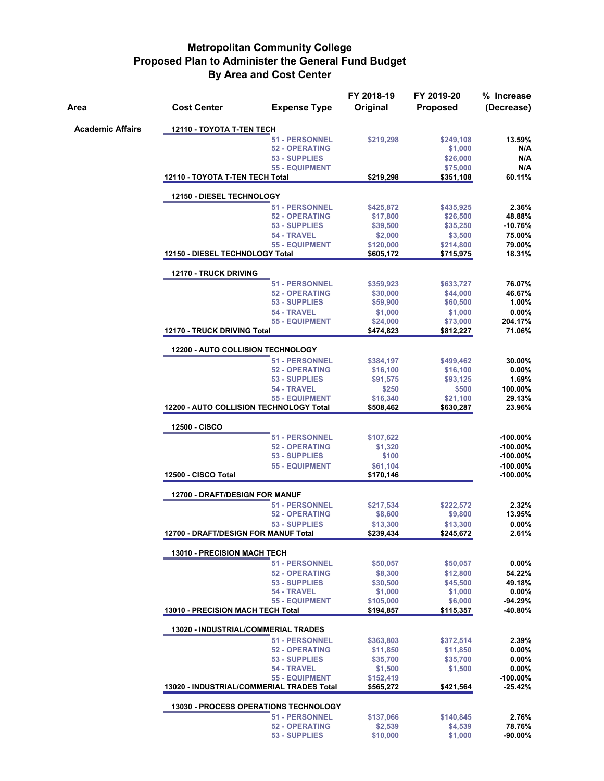| Area                    | <b>Cost Center</b>                       | <b>Expense Type</b>                                         | FY 2018-19<br>Original | FY 2019-20<br><b>Proposed</b> | % Increase<br>(Decrease)   |  |  |  |  |
|-------------------------|------------------------------------------|-------------------------------------------------------------|------------------------|-------------------------------|----------------------------|--|--|--|--|
| <b>Academic Affairs</b> | 12110 - TOYOTA T-TEN TECH                |                                                             |                        |                               |                            |  |  |  |  |
|                         |                                          | <b>51 - PERSONNEL</b>                                       | \$219,298              | \$249,108                     | 13.59%                     |  |  |  |  |
|                         |                                          | <b>52 - OPERATING</b>                                       |                        | \$1,000                       | N/A                        |  |  |  |  |
|                         |                                          | 53 - SUPPLIES<br><b>55 - EQUIPMENT</b>                      |                        | \$26,000<br>\$75,000          | N/A<br>N/A                 |  |  |  |  |
|                         | 12110 - TOYOTA T-TEN TECH Total          |                                                             | \$219,298              | \$351,108                     | 60.11%                     |  |  |  |  |
|                         | <b>12150 - DIESEL TECHNOLOGY</b>         |                                                             |                        |                               |                            |  |  |  |  |
|                         |                                          | <b>51 - PERSONNEL</b>                                       | \$425,872              | \$435,925                     | 2.36%                      |  |  |  |  |
|                         |                                          | <b>52 - OPERATING</b>                                       | \$17,800               | \$26,500                      | 48.88%                     |  |  |  |  |
|                         |                                          | 53 - SUPPLIES                                               | \$39,500               | \$35,250                      | $-10.76%$                  |  |  |  |  |
|                         |                                          | 54 - TRAVEL<br><b>55 - EQUIPMENT</b>                        | \$2,000<br>\$120,000   | \$3,500<br>\$214,800          | 75.00%<br>79.00%           |  |  |  |  |
|                         | 12150 - DIESEL TECHNOLOGY Total          |                                                             | \$605,172              | \$715,975                     | 18.31%                     |  |  |  |  |
|                         | 12170 - TRUCK DRIVING                    |                                                             |                        |                               |                            |  |  |  |  |
|                         |                                          | 51 - PERSONNEL                                              | \$359,923              | \$633,727                     | 76.07%                     |  |  |  |  |
|                         |                                          | <b>52 - OPERATING</b>                                       | \$30,000               | \$44,000                      | 46.67%                     |  |  |  |  |
|                         |                                          | 53 - SUPPLIES                                               | \$59,900               | \$60,500                      | 1.00%                      |  |  |  |  |
|                         |                                          | 54 - TRAVEL<br><b>55 - EQUIPMENT</b>                        | \$1,000<br>\$24,000    | \$1,000<br>\$73,000           | 0.00%<br>204.17%           |  |  |  |  |
|                         | 12170 - TRUCK DRIVING Total              |                                                             | \$474,823              | \$812,227                     | 71.06%                     |  |  |  |  |
|                         | 12200 - AUTO COLLISION TECHNOLOGY        |                                                             |                        |                               |                            |  |  |  |  |
|                         |                                          | <b>51 - PERSONNEL</b>                                       | \$384,197              | \$499,462                     | 30.00%                     |  |  |  |  |
|                         |                                          | <b>52 - OPERATING</b>                                       | \$16,100               | \$16,100                      | $0.00\%$                   |  |  |  |  |
|                         |                                          | 53 - SUPPLIES                                               | \$91,575               | \$93,125                      | 1.69%                      |  |  |  |  |
|                         |                                          | 54 - TRAVEL<br><b>55 - EQUIPMENT</b>                        | \$250<br>\$16,340      | \$500<br>\$21,100             | 100.00%<br>29.13%          |  |  |  |  |
|                         |                                          | 12200 - AUTO COLLISION TECHNOLOGY Total                     | \$508,462              | \$630,287                     | 23.96%                     |  |  |  |  |
|                         | 12500 - CISCO                            |                                                             |                        |                               |                            |  |  |  |  |
|                         |                                          | <b>51 - PERSONNEL</b>                                       | \$107,622              |                               | $-100.00%$                 |  |  |  |  |
|                         |                                          | <b>52 - OPERATING</b>                                       | \$1,320                |                               | $-100.00\%$                |  |  |  |  |
|                         |                                          | 53 - SUPPLIES                                               | \$100                  |                               | $-100.00\%$                |  |  |  |  |
|                         | 12500 - CISCO Total                      | <b>55 - EQUIPMENT</b>                                       | \$61,104<br>\$170,146  |                               | $-100.00\%$<br>$-100.00\%$ |  |  |  |  |
|                         | 12700 - DRAFT/DESIGN FOR MANUF           |                                                             |                        |                               |                            |  |  |  |  |
|                         |                                          | <b>51 - PERSONNEL</b>                                       | \$217,534              | \$222,572                     | 2.32%                      |  |  |  |  |
|                         |                                          | <b>52 - OPERATING</b>                                       | \$8,600                | \$9,800                       | 13.95%                     |  |  |  |  |
|                         |                                          | 53 - SUPPLIES                                               | \$13,300               | \$13,300                      | $0.00\%$                   |  |  |  |  |
|                         | 12700 - DRAFT/DESIGN FOR MANUF Total     |                                                             | \$239.434              | \$245,672                     | 2.61%                      |  |  |  |  |
|                         | <b>13010 - PRECISION MACH TECH</b>       | <b>51 - PERSONNEL</b>                                       | \$50,057               | \$50,057                      | 0.00%                      |  |  |  |  |
|                         |                                          | <b>52 - OPERATING</b>                                       | \$8,300                | \$12,800                      | 54.22%                     |  |  |  |  |
|                         |                                          | 53 - SUPPLIES                                               | \$30,500               | \$45,500                      | 49.18%                     |  |  |  |  |
|                         |                                          | 54 - TRAVEL                                                 | \$1,000                | \$1,000                       | $0.00\%$                   |  |  |  |  |
|                         | <b>13010 - PRECISION MACH TECH Total</b> | <b>55 - EQUIPMENT</b>                                       | \$105,000<br>\$194,857 | \$6,000<br>\$115,357          | $-94.29%$<br>-40.80%       |  |  |  |  |
|                         |                                          | 13020 - INDUSTRIAL/COMMERIAL TRADES                         |                        |                               |                            |  |  |  |  |
|                         |                                          | <b>51 - PERSONNEL</b>                                       | \$363,803              | \$372,514                     | 2.39%                      |  |  |  |  |
|                         |                                          | <b>52 - OPERATING</b>                                       | \$11,850               | \$11,850                      | $0.00\%$                   |  |  |  |  |
|                         |                                          | 53 - SUPPLIES                                               | \$35,700               | \$35,700                      | $0.00\%$                   |  |  |  |  |
|                         |                                          | 54 - TRAVEL                                                 | \$1,500                | \$1,500                       | $0.00\%$                   |  |  |  |  |
|                         |                                          | 55 - EQUIPMENT<br>13020 - INDUSTRIAL/COMMERIAL TRADES Total | \$152,419<br>\$565,272 | \$421,564                     | -100.00%<br>$-25.42%$      |  |  |  |  |
|                         |                                          | <b>13030 - PROCESS OPERATIONS TECHNOLOGY</b>                |                        |                               |                            |  |  |  |  |
|                         |                                          | <b>51 - PERSONNEL</b>                                       | \$137,066              | \$140,845                     | 2.76%                      |  |  |  |  |
|                         |                                          | <b>52 - OPERATING</b>                                       | \$2,539                | \$4,539                       | 78.76%                     |  |  |  |  |
|                         |                                          | 53 - SUPPLIES                                               | \$10,000               | \$1,000                       | $-90.00\%$                 |  |  |  |  |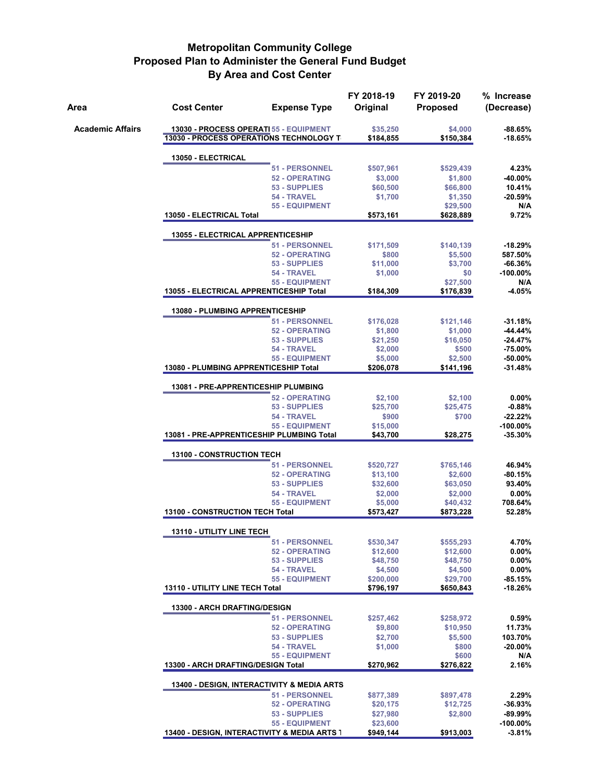| Area                    | <b>Cost Center</b>                                                                       | <b>Expense Type</b>                  | FY 2018-19<br>Original | FY 2019-20<br><b>Proposed</b> | % Increase<br>(Decrease) |
|-------------------------|------------------------------------------------------------------------------------------|--------------------------------------|------------------------|-------------------------------|--------------------------|
| <b>Academic Affairs</b> | 13030 - PROCESS OPERATI 55 - EQUIPMENT<br><b>13030 - PROCESS OPERATIONS TECHNOLOGY T</b> |                                      | \$35,250<br>\$184,855  | \$4,000<br>\$150,384          | $-88.65%$<br>$-18.65%$   |
|                         | 13050 - ELECTRICAL                                                                       |                                      |                        |                               |                          |
|                         |                                                                                          | 51 - PERSONNEL                       | \$507,961              | \$529,439                     | 4.23%                    |
|                         |                                                                                          | <b>52 - OPERATING</b>                | \$3,000                | \$1,800                       | -40.00%                  |
|                         |                                                                                          | 53 - SUPPLIES                        | \$60,500               | \$66,800                      | 10.41%                   |
|                         |                                                                                          | 54 - TRAVEL<br><b>55 - EQUIPMENT</b> | \$1,700                | \$1,350<br>\$29,500           | $-20.59%$<br>N/A         |
|                         | 13050 - ELECTRICAL Total                                                                 |                                      | \$573,161              | \$628,889                     | 9.72%                    |
|                         | 13055 - ELECTRICAL APPRENTICESHIP                                                        |                                      |                        |                               |                          |
|                         |                                                                                          | 51 - PERSONNEL                       | \$171,509              | \$140,139                     | $-18.29%$                |
|                         |                                                                                          | <b>52 - OPERATING</b>                | \$800                  | \$5,500                       | 587.50%                  |
|                         |                                                                                          | 53 - SUPPLIES<br>54 - TRAVEL         | \$11,000               | \$3,700                       | $-66.36%$<br>$-100.00\%$ |
|                         |                                                                                          | <b>55 - EQUIPMENT</b>                | \$1,000                | \$0<br>\$27,500               | N/A                      |
|                         | 13055 - ELECTRICAL APPRENTICESHIP Total                                                  |                                      | \$184,309              | \$176,839                     | $-4.05%$                 |
|                         | <b>13080 - PLUMBING APPRENTICESHIP</b>                                                   |                                      |                        |                               |                          |
|                         |                                                                                          | <b>51 - PERSONNEL</b>                | \$176,028              | \$121,146                     | $-31.18%$                |
|                         |                                                                                          | <b>52 - OPERATING</b>                | \$1,800                | \$1,000                       | -44.44%                  |
|                         |                                                                                          | 53 - SUPPLIES<br>54 - TRAVEL         | \$21,250               | \$16,050                      | $-24.47%$<br>$-75.00%$   |
|                         |                                                                                          | <b>55 - EQUIPMENT</b>                | \$2,000<br>\$5,000     | \$500<br>\$2,500              | $-50.00%$                |
|                         | 13080 - PLUMBING APPRENTICESHIP Total                                                    |                                      | \$206,078              | \$141,196                     | $-31.48%$                |
|                         | 13081 - PRE-APPRENTICESHIP PLUMBING                                                      |                                      |                        |                               |                          |
|                         |                                                                                          | <b>52 - OPERATING</b>                | \$2,100                | \$2,100                       | $0.00\%$                 |
|                         |                                                                                          | 53 - SUPPLIES                        | \$25,700               | \$25,475                      | $-0.88%$                 |
|                         |                                                                                          | 54 - TRAVEL                          | \$900                  | \$700                         | $-22.22%$                |
|                         | 13081 - PRE-APPRENTICESHIP PLUMBING Total                                                | <b>55 - EQUIPMENT</b>                | \$15,000<br>\$43,700   | \$28,275                      | -100.00%<br>$-35.30%$    |
|                         | <b>13100 - CONSTRUCTION TECH</b>                                                         |                                      |                        |                               |                          |
|                         |                                                                                          | 51 - PERSONNEL                       | \$520,727              | \$765,146                     | 46.94%                   |
|                         |                                                                                          | <b>52 - OPERATING</b>                | \$13,100               | \$2,600                       | -80.15%                  |
|                         |                                                                                          | 53 - SUPPLIES                        | \$32,600               | \$63,050                      | 93.40%                   |
|                         |                                                                                          | 54 - TRAVEL<br><b>55 - EQUIPMENT</b> | \$2,000                | \$2,000<br>\$40,432           | $0.00\%$<br>708.64%      |
|                         | 13100 - CONSTRUCTION TECH Total                                                          |                                      | \$5,000<br>\$573,427   | \$873,228                     | 52.28%                   |
|                         | <b>13110 - UTILITY LINE TECH</b>                                                         |                                      |                        |                               |                          |
|                         |                                                                                          | 51 - PERSONNEL                       | \$530,347              | \$555,293                     | 4.70%                    |
|                         |                                                                                          | <b>52 - OPERATING</b>                | \$12,600               | \$12,600                      | $0.00\%$                 |
|                         |                                                                                          | 53 - SUPPLIES                        | \$48,750               | \$48,750                      | $0.00\%$                 |
|                         |                                                                                          | 54 - TRAVEL                          | \$4,500                | \$4,500<br>\$29,700           | $0.00\%$<br>$-85.15%$    |
|                         | 13110 - UTILITY LINE TECH Total                                                          | 55 - EQUIPMENT                       | \$200,000<br>\$796,197 | \$650,843                     | $-18.26%$                |
|                         | 13300 - ARCH DRAFTING/DESIGN                                                             |                                      |                        |                               |                          |
|                         |                                                                                          | 51 - PERSONNEL                       | \$257,462              | \$258,972                     | 0.59%                    |
|                         |                                                                                          | <b>52 - OPERATING</b>                | \$9,800                | \$10,950                      | 11.73%                   |
|                         |                                                                                          | 53 - SUPPLIES                        | \$2,700                | \$5,500                       | 103.70%                  |
|                         |                                                                                          | 54 - TRAVEL<br><b>55 - EQUIPMENT</b> | \$1,000                | \$800                         | $-20.00\%$               |
|                         | 13300 - ARCH DRAFTING/DESIGN Total                                                       |                                      | \$270,962              | \$600<br>\$276,822            | N/A<br>2.16%             |
|                         | 13400 - DESIGN, INTERACTIVITY & MEDIA ARTS                                               |                                      |                        |                               |                          |
|                         |                                                                                          | <b>51 - PERSONNEL</b>                | \$877,389              | \$897,478                     | 2.29%                    |
|                         |                                                                                          | <b>52 - OPERATING</b>                | \$20,175               | \$12,725                      | $-36.93%$                |
|                         |                                                                                          | 53 - SUPPLIES                        | \$27,980               | \$2,800                       | -89.99%                  |
|                         |                                                                                          | <b>55 - EQUIPMENT</b>                | \$23,600               |                               | $-100.00\%$              |
|                         | 13400 - DESIGN, INTERACTIVITY & MEDIA ARTS 1                                             |                                      | \$949,144              | \$913,003                     | $-3.81\%$                |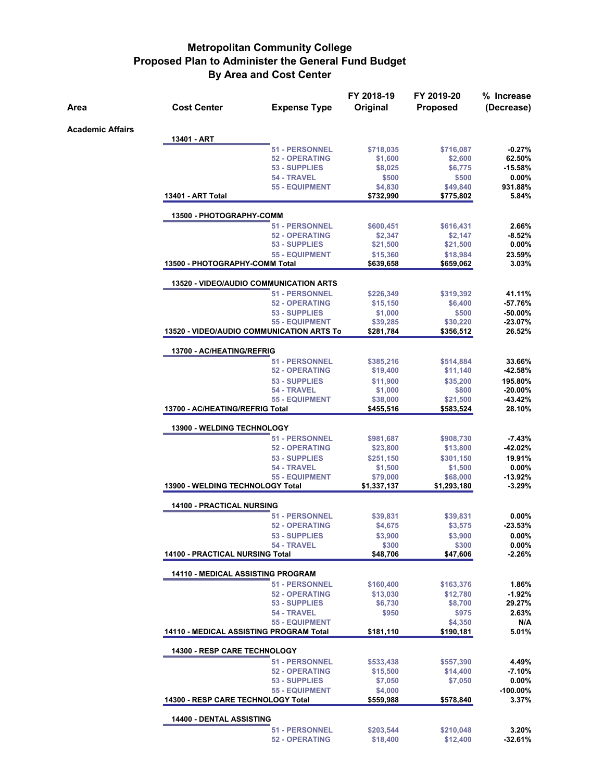|                         |                                                  |                                      | FY 2018-19            | FY 2019-20            | % Increase             |
|-------------------------|--------------------------------------------------|--------------------------------------|-----------------------|-----------------------|------------------------|
| Area                    | <b>Cost Center</b>                               | <b>Expense Type</b>                  | Original              | <b>Proposed</b>       | (Decrease)             |
| <b>Academic Affairs</b> |                                                  |                                      |                       |                       |                        |
|                         | 13401 - ART                                      |                                      |                       |                       |                        |
|                         |                                                  | <b>51 - PERSONNEL</b>                | \$718,035             | \$716,087             | $-0.27%$               |
|                         |                                                  | <b>52 - OPERATING</b>                | \$1,600               | \$2,600               | 62.50%                 |
|                         |                                                  | 53 - SUPPLIES                        | \$8,025               | \$6,775               | $-15.58%$<br>$0.00\%$  |
|                         |                                                  | 54 - TRAVEL<br><b>55 - EQUIPMENT</b> | \$500<br>\$4,830      | \$500<br>\$49,840     | 931.88%                |
|                         | 13401 - ART Total                                |                                      | \$732,990             | \$775,802             | 5.84%                  |
|                         | 13500 - PHOTOGRAPHY-COMM                         |                                      |                       |                       |                        |
|                         |                                                  | 51 - PERSONNEL                       | \$600,451             | \$616,431             | 2.66%                  |
|                         |                                                  | <b>52 - OPERATING</b>                | \$2,347               | \$2,147               | $-8.52%$               |
|                         |                                                  | 53 - SUPPLIES                        | \$21,500              | \$21,500              | $0.00\%$               |
|                         | 13500 - PHOTOGRAPHY-COMM Total                   | <b>55 - EQUIPMENT</b>                | \$15,360<br>\$639,658 | \$18,984<br>\$659,062 | 23.59%<br>3.03%        |
|                         | <b>13520 - VIDEO/AUDIO COMMUNICATION ARTS</b>    |                                      |                       |                       |                        |
|                         |                                                  | 51 - PERSONNEL                       | \$226,349             | \$319,392             | 41.11%                 |
|                         |                                                  | <b>52 - OPERATING</b>                | \$15,150              | \$6,400               | -57.76%                |
|                         |                                                  | 53 - SUPPLIES                        | \$1,000               | \$500                 | $-50.00%$              |
|                         |                                                  | <b>55 - EQUIPMENT</b>                | \$39,285              | \$30,220              | $-23.07%$              |
|                         | <b>13520 - VIDEO/AUDIO COMMUNICATION ARTS To</b> |                                      | \$281,784             | \$356,512             | 26.52%                 |
|                         | 13700 - AC/HEATING/REFRIG                        |                                      |                       |                       |                        |
|                         |                                                  | 51 - PERSONNEL                       | \$385,216             | \$514,884             | 33.66%                 |
|                         |                                                  | <b>52 - OPERATING</b>                | \$19,400              | \$11,140              | $-42.58%$              |
|                         |                                                  | 53 - SUPPLIES                        | \$11,900              | \$35,200              | 195.80%                |
|                         |                                                  | 54 - TRAVEL<br><b>55 - EQUIPMENT</b> | \$1,000               | \$800                 | $-20.00%$<br>$-43.42%$ |
|                         | 13700 - AC/HEATING/REFRIG Total                  |                                      | \$38,000<br>\$455,516 | \$21,500<br>\$583,524 | 28.10%                 |
|                         | <b>13900 - WELDING TECHNOLOGY</b>                |                                      |                       |                       |                        |
|                         |                                                  | 51 - PERSONNEL                       | \$981,687             | \$908,730             | $-7.43%$               |
|                         |                                                  | <b>52 - OPERATING</b>                | \$23,800              | \$13,800              | -42.02%                |
|                         |                                                  | 53 - SUPPLIES                        | \$251,150             | \$301,150             | 19.91%                 |
|                         |                                                  | 54 - TRAVEL                          | \$1,500               | \$1,500               | $0.00\%$               |
|                         |                                                  | <b>55 - EQUIPMENT</b>                | \$79,000              | \$68,000              | $-13.92%$              |
|                         | 13900 - WELDING TECHNOLOGY Total                 |                                      | \$1,337,137           | \$1,293,180           | $-3.29%$               |
|                         | 14100 - PRACTICAL NURSING                        |                                      |                       |                       |                        |
|                         |                                                  | 51 - PERSONNEL                       | \$39,831              | \$39,831              | $0.00\%$               |
|                         |                                                  | <b>52 - OPERATING</b>                | \$4,675               | \$3,575               | $-23.53%$              |
|                         |                                                  | 53 - SUPPLIES                        | \$3,900               | \$3,900               | $0.00\%$               |
|                         | 14100 - PRACTICAL NURSING Total                  | 54 - TRAVEL                          | \$300                 | \$300                 | 0.00%                  |
|                         |                                                  |                                      | \$48,706              | \$47,606              | $-2.26%$               |
|                         | <b>14110 - MEDICAL ASSISTING PROGRAM</b>         |                                      |                       |                       |                        |
|                         |                                                  | <b>51 - PERSONNEL</b>                | \$160,400             | \$163,376             | 1.86%                  |
|                         |                                                  | <b>52 - OPERATING</b>                | \$13,030              | \$12,780              | $-1.92%$               |
|                         |                                                  | 53 - SUPPLIES<br>54 - TRAVEL         | \$6,730<br>\$950      | \$8,700<br>\$975      | 29.27%<br>2.63%        |
|                         |                                                  | <b>55 - EQUIPMENT</b>                |                       | \$4,350               | N/A                    |
|                         | <b>14110 - MEDICAL ASSISTING PROGRAM Total</b>   |                                      | \$181,110             | \$190,181             | 5.01%                  |
|                         | <b>14300 - RESP CARE TECHNOLOGY</b>              |                                      |                       |                       |                        |
|                         |                                                  | <b>51 - PERSONNEL</b>                | \$533,438             | \$557,390             | 4.49%                  |
|                         |                                                  | <b>52 - OPERATING</b>                | \$15,500              | \$14,400              | $-7.10%$               |
|                         |                                                  | 53 - SUPPLIES                        | \$7,050               | \$7,050               | 0.00%                  |
|                         |                                                  | <b>55 - EQUIPMENT</b>                | \$4,000               |                       | $-100.00\%$            |
|                         | 14300 - RESP CARE TECHNOLOGY Total               |                                      | \$559,988             | \$578,840             | 3.37%                  |
|                         | 14400 - DENTAL ASSISTING                         |                                      |                       |                       |                        |
|                         |                                                  | 51 - PERSONNEL                       | \$203,544             | \$210,048             | 3.20%                  |
|                         |                                                  | <b>52 - OPERATING</b>                | \$18,400              | \$12,400              | $-32.61%$              |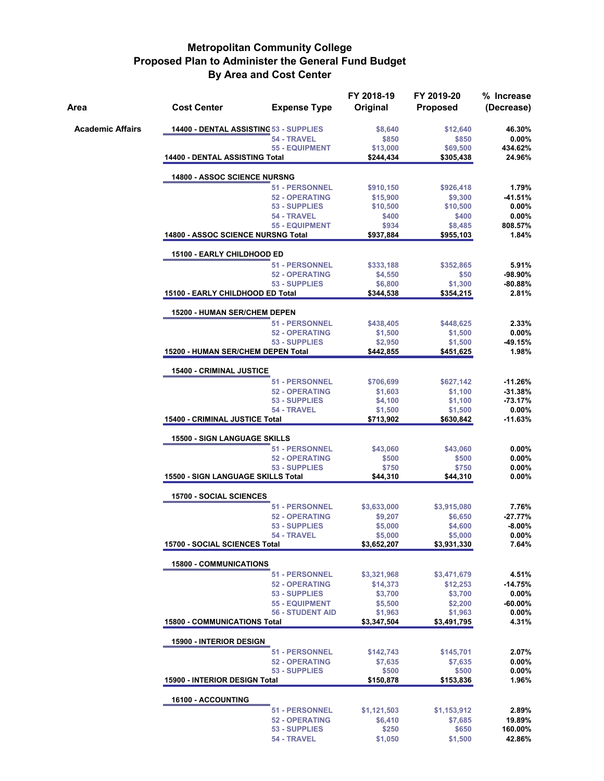| Area                    | <b>Cost Center</b>                        | <b>Expense Type</b>                    | FY 2018-19<br>Original | FY 2019-20<br><b>Proposed</b> | % Increase<br>(Decrease) |  |  |  |  |
|-------------------------|-------------------------------------------|----------------------------------------|------------------------|-------------------------------|--------------------------|--|--|--|--|
| <b>Academic Affairs</b> | 14400 - DENTAL ASSISTING 53 - SUPPLIES    |                                        | \$8,640                | \$12,640                      | 46.30%                   |  |  |  |  |
|                         |                                           | 54 - TRAVEL                            | \$850                  | \$850                         | 0.00%                    |  |  |  |  |
|                         | 14400 - DENTAL ASSISTING Total            | <b>55 - EQUIPMENT</b>                  | \$13,000<br>\$244,434  | \$69,500<br>\$305.438         | 434.62%<br>24.96%        |  |  |  |  |
|                         |                                           |                                        |                        |                               |                          |  |  |  |  |
|                         | <b>14800 - ASSOC SCIENCE NURSNG</b>       |                                        |                        |                               |                          |  |  |  |  |
|                         |                                           | <b>51 - PERSONNEL</b>                  | \$910,150              | \$926,418                     | 1.79%                    |  |  |  |  |
|                         |                                           | <b>52 - OPERATING</b><br>53 - SUPPLIES | \$15,900<br>\$10,500   | \$9,300<br>\$10,500           | $-41.51%$<br>$0.00\%$    |  |  |  |  |
|                         |                                           | 54 - TRAVEL                            | \$400                  | \$400                         | 0.00%                    |  |  |  |  |
|                         |                                           | <b>55 - EQUIPMENT</b>                  | \$934                  | \$8,485                       | 808.57%                  |  |  |  |  |
|                         | <b>14800 - ASSOC SCIENCE NURSNG Total</b> |                                        | \$937,884              | \$955,103                     | 1.84%                    |  |  |  |  |
|                         | 15100 - EARLY CHILDHOOD ED                |                                        |                        |                               |                          |  |  |  |  |
|                         |                                           | 51 - PERSONNEL                         | \$333,188              | \$352,865                     | 5.91%                    |  |  |  |  |
|                         |                                           | <b>52 - OPERATING</b><br>53 - SUPPLIES | \$4,550<br>\$6,800     | \$50<br>\$1,300               | $-98.90%$<br>$-80.88%$   |  |  |  |  |
|                         | 15100 - EARLY CHILDHOOD ED Total          |                                        | \$344,538              | \$354,215                     | 2.81%                    |  |  |  |  |
|                         | <b>15200 - HUMAN SER/CHEM DEPEN</b>       |                                        |                        |                               |                          |  |  |  |  |
|                         |                                           | <b>51 - PERSONNEL</b>                  | \$438,405              | \$448,625                     | 2.33%                    |  |  |  |  |
|                         |                                           | <b>52 - OPERATING</b>                  | \$1,500                | \$1,500                       | $0.00\%$                 |  |  |  |  |
|                         |                                           | 53 - SUPPLIES                          | \$2,950                | \$1,500                       | $-49.15%$                |  |  |  |  |
|                         | 15200 - HUMAN SER/CHEM DEPEN Total        |                                        | \$442,855              | \$451,625                     | 1.98%                    |  |  |  |  |
|                         |                                           | <b>15400 - CRIMINAL JUSTICE</b>        |                        |                               |                          |  |  |  |  |
|                         |                                           | 51 - PERSONNEL                         | \$706,699              | \$627,142                     | $-11.26%$                |  |  |  |  |
|                         |                                           | <b>52 - OPERATING</b><br>53 - SUPPLIES | \$1,603                | \$1,100                       | $-31.38%$<br>$-73.17%$   |  |  |  |  |
|                         |                                           | 54 - TRAVEL                            | \$4,100<br>\$1,500     | \$1,100<br>\$1,500            | 0.00%                    |  |  |  |  |
|                         |                                           | 15400 - CRIMINAL JUSTICE Total         |                        | \$630,842                     | $-11.63%$                |  |  |  |  |
|                         | <b>15500 - SIGN LANGUAGE SKILLS</b>       |                                        |                        |                               |                          |  |  |  |  |
|                         |                                           | <b>51 - PERSONNEL</b>                  | \$43,060               | \$43,060                      | 0.00%                    |  |  |  |  |
|                         |                                           | <b>52 - OPERATING</b>                  | \$500                  | \$500                         | 0.00%                    |  |  |  |  |
|                         | 15500 - SIGN LANGUAGE SKILLS Total        | 53 - SUPPLIES                          | \$750<br>\$44,310      | \$750<br>\$44,310             | $0.00\%$<br>$0.00\%$     |  |  |  |  |
|                         |                                           |                                        |                        |                               |                          |  |  |  |  |
|                         | <b>15700 - SOCIAL SCIENCES</b>            | <b>51 - PERSONNEL</b>                  | \$3,633,000            | \$3,915,080                   | 7.76%                    |  |  |  |  |
|                         |                                           | <b>52 - OPERATING</b>                  | \$9,207                | \$6,650                       | $-27.77%$                |  |  |  |  |
|                         |                                           | 53 - SUPPLIES                          | \$5,000                | \$4,600                       | $-8.00%$                 |  |  |  |  |
|                         |                                           | 54 - TRAVEL                            | \$5,000                | \$5,000                       | 0.00%                    |  |  |  |  |
|                         | 15700 - SOCIAL SCIENCES Total             |                                        | \$3,652,207            | \$3,931,330                   | 7.64%                    |  |  |  |  |
|                         | <b>15800 - COMMUNICATIONS</b>             |                                        |                        |                               |                          |  |  |  |  |
|                         |                                           | <b>51 - PERSONNEL</b>                  | \$3,321,968            | \$3,471,679                   | 4.51%                    |  |  |  |  |
|                         |                                           | <b>52 - OPERATING</b><br>53 - SUPPLIES | \$14,373<br>\$3,700    | \$12,253<br>\$3,700           | $-14.75%$<br>$0.00\%$    |  |  |  |  |
|                         |                                           | <b>55 - EQUIPMENT</b>                  | \$5,500                | \$2,200                       | $-60.00\%$               |  |  |  |  |
|                         |                                           | <b>56 - STUDENT AID</b>                | \$1,963                | \$1,963                       | $0.00\%$                 |  |  |  |  |
|                         | <b>15800 - COMMUNICATIONS Total</b>       |                                        | \$3,347,504            | \$3,491,795                   | 4.31%                    |  |  |  |  |
|                         | <b>15900 - INTERIOR DESIGN</b>            |                                        |                        |                               |                          |  |  |  |  |
|                         |                                           | <b>51 - PERSONNEL</b>                  | \$142,743              | \$145,701                     | 2.07%                    |  |  |  |  |
|                         |                                           | <b>52 - OPERATING</b><br>53 - SUPPLIES | \$7,635<br>\$500       | \$7,635<br>\$500              | 0.00%<br>$0.00\%$        |  |  |  |  |
|                         | <b>15900 - INTERIOR DESIGN Total</b>      |                                        | \$150,878              | \$153,836                     | 1.96%                    |  |  |  |  |
|                         |                                           |                                        |                        |                               |                          |  |  |  |  |
|                         | 16100 - ACCOUNTING                        | <b>51 - PERSONNEL</b>                  | \$1,121,503            | \$1,153,912                   | 2.89%                    |  |  |  |  |
|                         |                                           | <b>52 - OPERATING</b>                  | \$6,410                | \$7,685                       | 19.89%                   |  |  |  |  |
|                         |                                           | 53 - SUPPLIES                          | \$250                  | \$650                         | 160.00%                  |  |  |  |  |
|                         |                                           | 54 - TRAVEL                            | \$1,050                | \$1,500                       | 42.86%                   |  |  |  |  |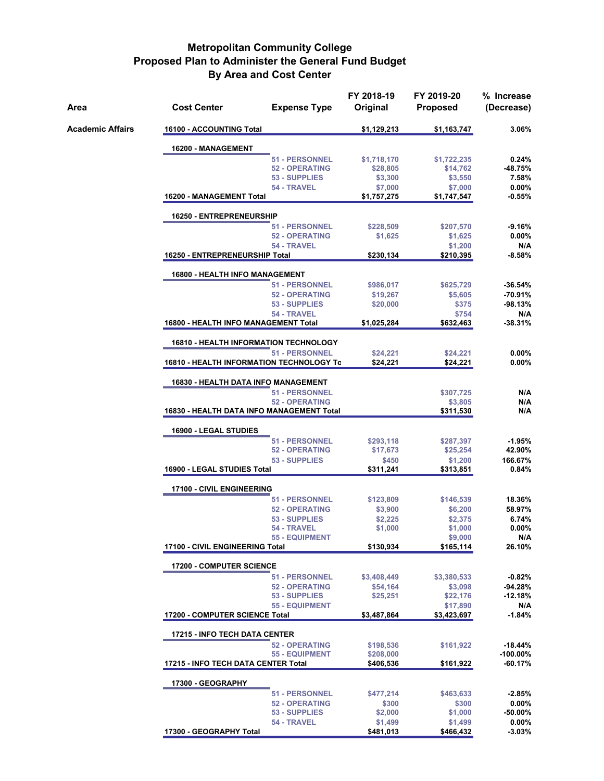| Area             | <b>Cost Center</b>                           | <b>Expense Type</b>          | FY 2018-19<br>Original | FY 2019-20<br><b>Proposed</b> | % Increase<br>(Decrease) |  |  |  |
|------------------|----------------------------------------------|------------------------------|------------------------|-------------------------------|--------------------------|--|--|--|
| Academic Affairs | 16100 - ACCOUNTING Total                     |                              | \$1,129,213            | \$1,163,747                   | 3.06%                    |  |  |  |
|                  | 16200 - MANAGEMENT                           |                              |                        |                               |                          |  |  |  |
|                  |                                              | 51 - PERSONNEL               | \$1,718,170            | \$1,722,235                   | 0.24%                    |  |  |  |
|                  |                                              | <b>52 - OPERATING</b>        | \$28,805               | \$14,762                      | -48.75%                  |  |  |  |
|                  |                                              | 53 - SUPPLIES                | \$3,300                | \$3,550                       | 7.58%                    |  |  |  |
|                  | 16200 - MANAGEMENT Total                     | 54 - TRAVEL                  | \$7,000<br>\$1,757,275 | \$7,000<br>\$1,747,547        | $0.00\%$<br>-0.55%       |  |  |  |
|                  | 16250 - ENTREPRENEURSHIP                     |                              |                        |                               |                          |  |  |  |
|                  |                                              | <b>51 - PERSONNEL</b>        | \$228,509              | \$207,570                     | -9.16%                   |  |  |  |
|                  |                                              | <b>52 - OPERATING</b>        | \$1,625                | \$1,625                       | $0.00\%$                 |  |  |  |
|                  |                                              | 54 - TRAVEL                  |                        | \$1,200                       | N/A                      |  |  |  |
|                  | 16250 - ENTREPRENEURSHIP Total               |                              | \$230,134              | \$210,395                     | -8.58%                   |  |  |  |
|                  | <b>16800 - HEALTH INFO MANAGEMENT</b>        |                              |                        |                               |                          |  |  |  |
|                  |                                              | 51 - PERSONNEL               | \$986,017              | \$625,729                     | -36.54%                  |  |  |  |
|                  |                                              | <b>52 - OPERATING</b>        | \$19,267               | \$5,605                       | -70.91%                  |  |  |  |
|                  |                                              | 53 - SUPPLIES                | \$20,000               | \$375                         | -98.13%                  |  |  |  |
|                  | 16800 - HEALTH INFO MANAGEMENT Total         | 54 - TRAVEL                  | \$1,025,284            | \$754<br>\$632,463            | N/A<br>-38.31%           |  |  |  |
|                  | <b>16810 - HEALTH INFORMATION TECHNOLOGY</b> |                              |                        |                               |                          |  |  |  |
|                  |                                              | <b>51 - PERSONNEL</b>        | \$24,221               | \$24,221                      | $0.00\%$                 |  |  |  |
|                  | 16810 - HEALTH INFORMATION TECHNOLOGY To     |                              | \$24,221               | \$24,221                      | $0.00\%$                 |  |  |  |
|                  |                                              |                              |                        |                               |                          |  |  |  |
|                  | <b>16830 - HEALTH DATA INFO MANAGEMENT</b>   | <b>51 - PERSONNEL</b>        |                        |                               | N/A                      |  |  |  |
|                  |                                              | <b>52 - OPERATING</b>        |                        | \$307,725<br>\$3,805          | N/A                      |  |  |  |
|                  | 16830 - HEALTH DATA INFO MANAGEMENT Total    | N/A                          |                        |                               |                          |  |  |  |
|                  | 16900 - LEGAL STUDIES                        |                              |                        |                               |                          |  |  |  |
|                  |                                              | 51 - PERSONNEL               | \$293,118              | \$287,397                     | $-1.95%$                 |  |  |  |
|                  |                                              | <b>52 - OPERATING</b>        | \$17,673               | \$25,254                      | 42.90%                   |  |  |  |
|                  |                                              | 53 - SUPPLIES                | \$450                  | \$1,200                       | 166.67%                  |  |  |  |
|                  | 16900 - LEGAL STUDIES Total                  |                              | \$311,241              | \$313,851                     | 0.84%                    |  |  |  |
|                  | 17100 - CIVIL ENGINEERING                    |                              |                        |                               |                          |  |  |  |
|                  |                                              | <b>51 - PERSONNEL</b>        | \$123,809              | \$146,539                     | 18.36%                   |  |  |  |
|                  |                                              | <b>52 - OPERATING</b>        | \$3,900                | \$6,200                       | 58.97%                   |  |  |  |
|                  |                                              | 53 - SUPPLIES                | \$2,225                | \$2,375                       | 6.74%                    |  |  |  |
|                  |                                              | 54 - TRAVEL                  | \$1,000                | \$1,000                       | $0.00\%$                 |  |  |  |
|                  | 17100 - CIVIL ENGINEERING Total              | <b>55 - EQUIPMENT</b>        | \$130,934              | \$9,000<br>\$165,114          | N/A<br>26.10%            |  |  |  |
|                  | <b>17200 - COMPUTER SCIENCE</b>              |                              |                        |                               |                          |  |  |  |
|                  |                                              | 51 - PERSONNEL               | \$3,408,449            | \$3,380,533                   | $-0.82%$                 |  |  |  |
|                  |                                              | <b>52 - OPERATING</b>        | \$54,164               | \$3,098                       | -94.28%                  |  |  |  |
|                  |                                              | 53 - SUPPLIES                | \$25,251               | \$22,176                      | -12.18%                  |  |  |  |
|                  |                                              | <b>55 - EQUIPMENT</b>        |                        | \$17,890                      | N/A                      |  |  |  |
|                  | 17200 - COMPUTER SCIENCE Total               |                              | \$3,487,864            | \$3,423,697                   | $-1.84%$                 |  |  |  |
|                  | <b>17215 - INFO TECH DATA CENTER</b>         |                              |                        |                               |                          |  |  |  |
|                  |                                              | <b>52 - OPERATING</b>        | \$198,536              | \$161.922                     | $-18.44%$                |  |  |  |
|                  |                                              | <b>55 - EQUIPMENT</b>        | \$208,000              |                               | $-100.00\%$              |  |  |  |
|                  | 17215 - INFO TECH DATA CENTER Total          |                              | \$406,536              | \$161,922                     | -60.17%                  |  |  |  |
|                  | 17300 - GEOGRAPHY                            |                              |                        |                               |                          |  |  |  |
|                  |                                              | 51 - PERSONNEL               | \$477,214              | \$463,633                     | $-2.85%$                 |  |  |  |
|                  |                                              | <b>52 - OPERATING</b>        | \$300                  | \$300                         | $0.00\%$                 |  |  |  |
|                  |                                              | 53 - SUPPLIES<br>54 - TRAVEL | \$2,000<br>\$1,499     | \$1,000<br>\$1,499            | -50.00%<br>$0.00\%$      |  |  |  |
|                  | 17300 - GEOGRAPHY Total                      |                              | \$481,013              | \$466,432                     | $-3.03%$                 |  |  |  |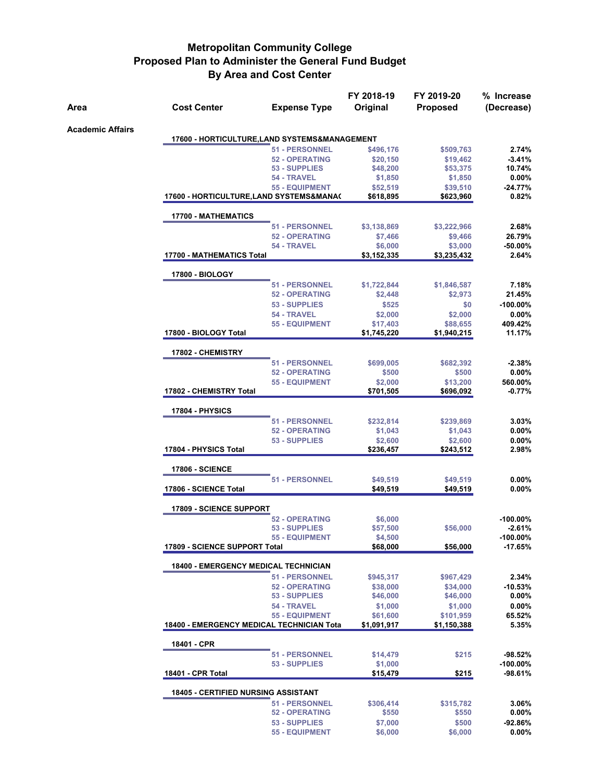|                         |                                                  |                                                | FY 2018-19             | FY 2019-20             | % Increase  |
|-------------------------|--------------------------------------------------|------------------------------------------------|------------------------|------------------------|-------------|
| Area                    | <b>Cost Center</b>                               | <b>Expense Type</b>                            | Original               | Proposed               | (Decrease)  |
|                         |                                                  |                                                |                        |                        |             |
| <b>Academic Affairs</b> | 17600 - HORTICULTURE, LAND SYSTEMS&MANAGEMENT    |                                                |                        |                        |             |
|                         |                                                  | <b>51 - PERSONNEL</b>                          |                        |                        | 2.74%       |
|                         |                                                  | <b>52 - OPERATING</b>                          | \$496,176<br>\$20,150  | \$509,763<br>\$19,462  | $-3.41%$    |
|                         |                                                  | 53 - SUPPLIES                                  | \$48,200               | \$53,375               | 10.74%      |
|                         |                                                  | 54 - TRAVEL                                    | \$1,850                | \$1,850                | 0.00%       |
|                         |                                                  | <b>55 - EQUIPMENT</b>                          | \$52,519               | \$39,510               | $-24.77%$   |
|                         | 17600 - HORTICULTURE, LAND SYSTEMS&MANA(         |                                                | \$618,895              | \$623,960              | 0.82%       |
|                         |                                                  |                                                |                        |                        |             |
|                         | <b>17700 - MATHEMATICS</b>                       | 51 - PERSONNEL                                 |                        |                        | 2.68%       |
|                         |                                                  | <b>52 - OPERATING</b>                          | \$3,138,869<br>\$7,466 | \$3,222,966<br>\$9,466 | 26.79%      |
|                         |                                                  | 54 - TRAVEL                                    | \$6,000                | \$3,000                | $-50.00%$   |
|                         | 17700 - MATHEMATICS Total                        |                                                | \$3,152,335            | \$3,235,432            | 2.64%       |
|                         |                                                  |                                                |                        |                        |             |
|                         | <b>17800 - BIOLOGY</b>                           |                                                |                        |                        |             |
|                         |                                                  | <b>51 - PERSONNEL</b><br><b>52 - OPERATING</b> | \$1,722,844            | \$1,846,587            | 7.18%       |
|                         |                                                  |                                                | \$2,448                | \$2,973                | 21.45%      |
|                         |                                                  | 53 - SUPPLIES                                  | \$525                  | \$0                    | $-100.00\%$ |
|                         |                                                  | 54 - TRAVEL                                    | \$2,000                | \$2,000                | $0.00\%$    |
|                         |                                                  | <b>55 - EQUIPMENT</b>                          | \$17,403               | \$88,655               | 409.42%     |
|                         | 17800 - BIOLOGY Total                            |                                                | \$1,745,220            | \$1,940,215            | 11.17%      |
|                         | 17802 - CHEMISTRY                                |                                                |                        |                        |             |
|                         |                                                  | 51 - PERSONNEL                                 | \$699,005              | \$682,392              | $-2.38%$    |
|                         |                                                  | <b>52 - OPERATING</b>                          | \$500                  | \$500                  | $0.00\%$    |
|                         |                                                  | <b>55 - EQUIPMENT</b>                          | \$2,000                | \$13,200               | 560.00%     |
|                         | 17802 - CHEMISTRY Total                          |                                                | \$701,505              | \$696,092              | $-0.77%$    |
|                         |                                                  |                                                |                        |                        |             |
|                         | 17804 - PHYSICS                                  |                                                |                        |                        |             |
|                         |                                                  | <b>51 - PERSONNEL</b>                          | \$232,814              | \$239,869              | 3.03%       |
|                         |                                                  | <b>52 - OPERATING</b>                          | \$1,043                | \$1,043                | 0.00%       |
|                         |                                                  | 53 - SUPPLIES                                  | \$2,600                | \$2,600                | $0.00\%$    |
|                         | 17804 - PHYSICS Total                            |                                                | \$236,457              | \$243,512              | 2.98%       |
|                         | <b>17806 - SCIENCE</b>                           |                                                |                        |                        |             |
|                         |                                                  | 51 - PERSONNEL                                 | \$49,519               | \$49,519               | $0.00\%$    |
|                         | 17806 - SCIENCE Total                            |                                                | \$49,519               | \$49,519               | $0.00\%$    |
|                         |                                                  |                                                |                        |                        |             |
|                         | <b>17809 - SCIENCE SUPPORT</b>                   | <b>52 - OPERATING</b>                          | \$6,000                |                        | $-100.00\%$ |
|                         |                                                  | 53 - SUPPLIES                                  | \$57,500               | \$56,000               | $-2.61%$    |
|                         |                                                  | 55 - EQUIPMENT                                 | \$4,500                |                        | $-100.00\%$ |
|                         | 17809 - SCIENCE SUPPORT Total                    |                                                | \$68,000               | \$56,000               | -17.65%     |
|                         |                                                  |                                                |                        |                        |             |
|                         | <b>18400 - EMERGENCY MEDICAL TECHNICIAN</b>      |                                                |                        |                        |             |
|                         |                                                  | <b>51 - PERSONNEL</b>                          | \$945,317              | \$967,429              | 2.34%       |
|                         |                                                  | <b>52 - OPERATING</b>                          | \$38,000               | \$34,000               | -10.53%     |
|                         |                                                  | 53 - SUPPLIES                                  | \$46,000               | \$46,000               | 0.00%       |
|                         |                                                  | 54 - TRAVEL                                    | \$1,000                | \$1,000                | $0.00\%$    |
|                         |                                                  | <b>55 - EQUIPMENT</b>                          | \$61,600               | \$101,959              | 65.52%      |
|                         | <b>18400 - EMERGENCY MEDICAL TECHNICIAN Tota</b> |                                                | \$1,091,917            | \$1,150,388            | 5.35%       |
|                         |                                                  |                                                |                        |                        |             |
|                         | 18401 - CPR                                      | <b>51 - PERSONNEL</b>                          | \$14,479               | \$215                  | -98.52%     |
|                         |                                                  | 53 - SUPPLIES                                  |                        |                        | $-100.00\%$ |
|                         | 18401 - CPR Total                                |                                                | \$1,000<br>\$15,479    | \$215                  | -98.61%     |
|                         |                                                  |                                                |                        |                        |             |
|                         | <b>18405 - CERTIFIED NURSING ASSISTANT</b>       |                                                |                        |                        |             |
|                         |                                                  | <b>51 - PERSONNEL</b>                          | \$306,414              | \$315,782              | 3.06%       |
|                         |                                                  | <b>52 - OPERATING</b>                          | \$550                  | \$550                  | $0.00\%$    |
|                         |                                                  | 53 - SUPPLIES                                  | \$7,000                | \$500                  | -92.86%     |
|                         |                                                  | <b>55 - EQUIPMENT</b>                          | \$6,000                | \$6,000                | 0.00%       |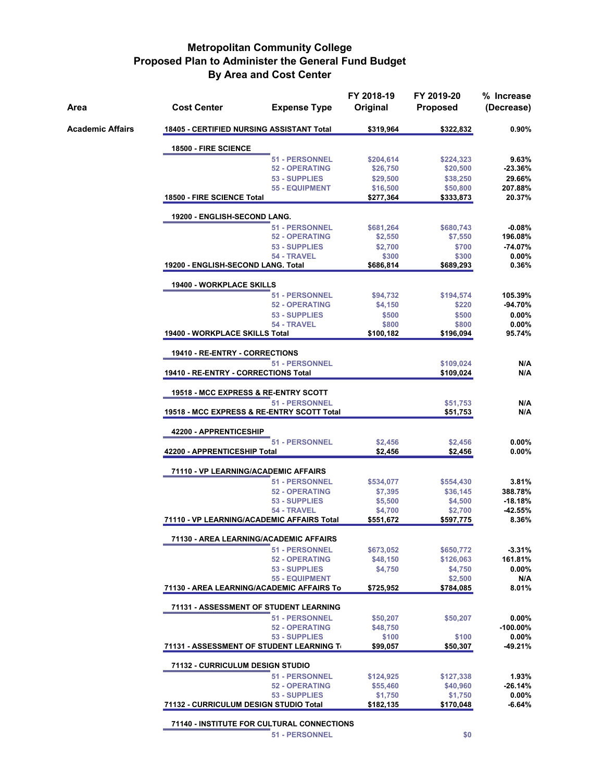| Area                    | <b>Cost Center</b>                              | <b>Expense Type</b>                        | FY 2018-19<br>Original | FY 2019-20<br><b>Proposed</b> | % Increase<br>(Decrease) |
|-------------------------|-------------------------------------------------|--------------------------------------------|------------------------|-------------------------------|--------------------------|
| <b>Academic Affairs</b> | 18405 - CERTIFIED NURSING ASSISTANT Total       |                                            | \$319,964              | \$322,832                     | $0.90\%$                 |
|                         | 18500 - FIRE SCIENCE                            |                                            |                        |                               |                          |
|                         |                                                 | <b>51 - PERSONNEL</b>                      | \$204,614              | \$224,323                     | 9.63%                    |
|                         |                                                 | <b>52 - OPERATING</b>                      | \$26,750               | \$20,500                      | $-23.36%$                |
|                         |                                                 | 53 - SUPPLIES                              | \$29,500               | \$38,250                      | 29.66%                   |
|                         |                                                 | <b>55 - EQUIPMENT</b>                      | \$16,500               | \$50,800                      | 207.88%                  |
|                         | 18500 - FIRE SCIENCE Total                      |                                            | \$277,364              | \$333,873                     | 20.37%                   |
|                         | 19200 - ENGLISH-SECOND LANG.                    |                                            |                        |                               |                          |
|                         |                                                 | 51 - PERSONNEL                             | \$681,264              | \$680,743                     | $-0.08%$                 |
|                         |                                                 | <b>52 - OPERATING</b>                      | \$2,550                | \$7,550                       | 196.08%                  |
|                         |                                                 | 53 - SUPPLIES                              | \$2,700                | \$700                         | $-74.07%$                |
|                         |                                                 | 54 - TRAVEL                                | \$300                  | \$300                         | $0.00\%$                 |
|                         | 19200 - ENGLISH-SECOND LANG. Total              |                                            | \$686,814              | \$689,293                     | 0.36%                    |
|                         | <b>19400 - WORKPLACE SKILLS</b>                 |                                            |                        |                               |                          |
|                         |                                                 | <b>51 - PERSONNEL</b>                      | \$94,732               | \$194,574                     | 105.39%                  |
|                         |                                                 | <b>52 - OPERATING</b>                      | \$4,150                | \$220                         | -94.70%                  |
|                         |                                                 | 53 - SUPPLIES                              | \$500                  | \$500                         | $0.00\%$                 |
|                         |                                                 | 54 - TRAVEL                                | \$800                  | \$800                         | $0.00\%$                 |
|                         | 19400 - WORKPLACE SKILLS Total                  |                                            | \$100,182              | \$196,094                     | 95.74%                   |
|                         | 19410 - RE-ENTRY - CORRECTIONS                  |                                            |                        |                               |                          |
|                         |                                                 | <b>51 - PERSONNEL</b>                      |                        | \$109,024                     | N/A                      |
|                         |                                                 | 19410 - RE-ENTRY - CORRECTIONS Total       |                        |                               | N/A                      |
|                         | <b>19518 - MCC EXPRESS &amp; RE-ENTRY SCOTT</b> |                                            |                        |                               |                          |
|                         | <b>51 - PERSONNEL</b>                           |                                            |                        | \$51,753                      | N/A                      |
|                         |                                                 | 19518 - MCC EXPRESS & RE-ENTRY SCOTT Total |                        | \$51,753                      | N/A                      |
|                         | 42200 - APPRENTICESHIP                          |                                            |                        |                               |                          |
|                         |                                                 | 51 - PERSONNEL                             | \$2,456                | \$2,456                       | 0.00%                    |
|                         | 42200 - APPRENTICESHIP Total                    |                                            | \$2,456                | \$2,456                       | $0.00\%$                 |
|                         | 71110 - VP LEARNING/ACADEMIC AFFAIRS            |                                            |                        |                               |                          |
|                         |                                                 | <b>51 - PERSONNEL</b>                      | \$534,077              | \$554,430                     | 3.81%                    |
|                         |                                                 | <b>52 - OPERATING</b>                      | \$7,395                | \$36,145                      | 388.78%                  |
|                         |                                                 | 53 - SUPPLIES                              | \$5,500                | \$4,500                       | $-18.18%$                |
|                         |                                                 | 54 - TRAVEL                                | \$4,700                | \$2,700                       | $-42.55%$                |
|                         | 71110 - VP LEARNING/ACADEMIC AFFAIRS Total      |                                            | \$551,672              | \$597,775                     | 8.36%                    |
|                         | 71130 - AREA LEARNING/ACADEMIC AFFAIRS          |                                            |                        |                               |                          |
|                         |                                                 | <b>51 - PERSONNEL</b>                      | \$673,052              | \$650,772                     | $-3.31%$                 |
|                         |                                                 | <b>52 - OPERATING</b>                      |                        | \$126,063                     | 161.81%                  |
|                         |                                                 | 53 - SUPPLIES                              | \$48,150<br>\$4,750    | \$4,750                       | 0.00%                    |
|                         |                                                 | <b>55 - EQUIPMENT</b>                      |                        | \$2,500                       | N/A                      |
|                         | 71130 - AREA LEARNING/ACADEMIC AFFAIRS To       |                                            | \$725,952              | \$784,085                     | 8.01%                    |
|                         |                                                 |                                            |                        |                               |                          |
|                         | 71131 - ASSESSMENT OF STUDENT LEARNING          |                                            |                        |                               |                          |
|                         |                                                 | <b>51 - PERSONNEL</b>                      | \$50,207               | \$50,207                      | 0.00%                    |
|                         |                                                 | <b>52 - OPERATING</b>                      | \$48,750               |                               | $-100.00\%$              |
|                         | 71131 - ASSESSMENT OF STUDENT LEARNING To       | 53 - SUPPLIES                              | \$100<br>\$99,057      | \$100<br>\$50,307             | 0.00%<br>$-49.21%$       |
|                         |                                                 |                                            |                        |                               |                          |
|                         | 71132 - CURRICULUM DESIGN STUDIO                |                                            |                        |                               |                          |
|                         |                                                 | <b>51 - PERSONNEL</b>                      | \$124,925              | \$127,338                     | 1.93%                    |
|                         |                                                 | <b>52 - OPERATING</b><br>53 - SUPPLIES     | \$55,460<br>\$1,750    | \$40,960<br>\$1,750           | $-26.14%$<br>0.00%       |
|                         | 71132 - CURRICULUM DESIGN STUDIO Total          |                                            | \$182,135              | \$170,048                     | $-6.64%$                 |
|                         |                                                 |                                            |                        |                               |                          |

**71140 - INSTITUTE FOR CULTURAL CONNECTIONS**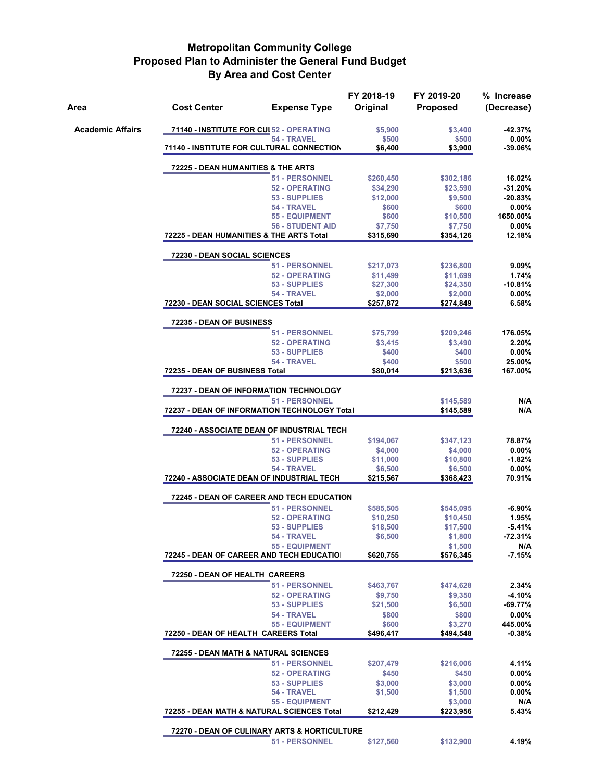| Area                    | <b>Cost Center</b>                       | <b>Expense Type</b>                                                       | FY 2018-19<br>Original | FY 2019-20<br><b>Proposed</b> | % Increase<br>(Decrease) |  |  |
|-------------------------|------------------------------------------|---------------------------------------------------------------------------|------------------------|-------------------------------|--------------------------|--|--|
| <b>Academic Affairs</b> |                                          | 71140 - INSTITUTE FOR CUI 52 - OPERATING<br>54 - TRAVEL                   | \$5,900<br>\$500       | \$3,400<br>\$500              | $-42.37%$<br>$0.00\%$    |  |  |
|                         |                                          | 71140 - INSTITUTE FOR CULTURAL CONNECTION                                 | \$6,400                | \$3,900                       | $-39.06%$                |  |  |
|                         | 72225 - DEAN HUMANITIES & THE ARTS       |                                                                           |                        |                               |                          |  |  |
|                         |                                          | <b>51 - PERSONNEL</b>                                                     | \$260,450              | \$302,186                     | 16.02%                   |  |  |
|                         |                                          | <b>52 - OPERATING</b><br>53 - SUPPLIES                                    | \$34,290<br>\$12,000   | \$23,590<br>\$9,500           | $-31.20%$<br>$-20.83%$   |  |  |
|                         |                                          | 54 - TRAVEL                                                               | \$600                  | \$600                         | $0.00\%$                 |  |  |
|                         |                                          | <b>55 - EQUIPMENT</b><br><b>56 - STUDENT AID</b>                          | \$600<br>\$7,750       | \$10,500<br>\$7,750           | 1650.00%<br>0.00%        |  |  |
|                         | 72225 - DEAN HUMANITIES & THE ARTS Total |                                                                           | \$315,690              | \$354,126                     | 12.18%                   |  |  |
|                         | 72230 - DEAN SOCIAL SCIENCES             |                                                                           |                        |                               |                          |  |  |
|                         |                                          | <b>51 - PERSONNEL</b>                                                     | \$217,073              | \$236,800                     | 9.09%                    |  |  |
|                         |                                          | <b>52 - OPERATING</b>                                                     | \$11,499               | \$11,699                      | 1.74%                    |  |  |
|                         |                                          | 53 - SUPPLIES<br>54 - TRAVEL                                              | \$27,300<br>\$2,000    | \$24,350<br>\$2,000           | $-10.81%$<br>0.00%       |  |  |
|                         | 72230 - DEAN SOCIAL SCIENCES Total       |                                                                           | \$257,872              | \$274,849                     | 6.58%                    |  |  |
|                         | 72235 - DEAN OF BUSINESS                 |                                                                           |                        |                               |                          |  |  |
|                         |                                          | <b>51 - PERSONNEL</b>                                                     | \$75,799               | \$209,246                     | 176.05%                  |  |  |
|                         |                                          | <b>52 - OPERATING</b><br>53 - SUPPLIES                                    | \$3,415<br>\$400       | \$3,490<br>\$400              | 2.20%<br>0.00%           |  |  |
|                         |                                          | 54 - TRAVEL                                                               | \$400                  | \$500                         | 25.00%                   |  |  |
|                         | 72235 - DEAN OF BUSINESS Total           |                                                                           | \$80,014               | \$213,636                     | 167.00%                  |  |  |
|                         |                                          | 72237 - DEAN OF INFORMATION TECHNOLOGY                                    |                        |                               |                          |  |  |
|                         |                                          | <b>51 - PERSONNEL</b><br>72237 - DEAN OF INFORMATION TECHNOLOGY Total     |                        | \$145,589<br>\$145,589        | N/A<br>N/A               |  |  |
|                         |                                          |                                                                           |                        |                               |                          |  |  |
|                         |                                          | <b>72240 - ASSOCIATE DEAN OF INDUSTRIAL TECH</b><br><b>51 - PERSONNEL</b> | \$194,067              | \$347,123                     | 78.87%                   |  |  |
|                         |                                          | <b>52 - OPERATING</b>                                                     | \$4,000                | \$4,000                       | $0.00\%$                 |  |  |
|                         |                                          | 53 - SUPPLIES                                                             | \$11,000               | \$10,800                      | $-1.82%$                 |  |  |
|                         |                                          | 54 - TRAVEL<br>72240 - ASSOCIATE DEAN OF INDUSTRIAL TECH                  | \$6,500<br>\$215,567   | \$6,500<br>\$368,423          | 0.00%<br>70.91%          |  |  |
|                         |                                          | 72245 - DEAN OF CAREER AND TECH EDUCATION                                 |                        |                               |                          |  |  |
|                         |                                          | 51 - PERSONNEL                                                            | \$585,505              | \$545,095                     | $-6.90%$                 |  |  |
|                         |                                          | <b>52 - OPERATING</b>                                                     | \$10,250               | \$10,450                      | 1.95%                    |  |  |
|                         |                                          | 53 - SUPPLIES<br>54 - TRAVEL                                              | \$18,500<br>\$6,500    | \$17,500<br>\$1,800           | $-5.41%$<br>$-72.31%$    |  |  |
|                         |                                          | <b>55 - EQUIPMENT</b>                                                     |                        | \$1,500                       | N/A                      |  |  |
|                         |                                          | 72245 - DEAN OF CAREER AND TECH EDUCATIOI                                 | \$620,755              | \$576,345                     | $-7.15%$                 |  |  |
|                         | 72250 - DEAN OF HEALTH CAREERS           |                                                                           |                        |                               |                          |  |  |
|                         |                                          | <b>51 - PERSONNEL</b>                                                     | \$463,767              | \$474,628                     | 2.34%                    |  |  |
|                         |                                          | <b>52 - OPERATING</b>                                                     | \$9,750                | \$9,350                       | -4.10%                   |  |  |
|                         |                                          | 53 - SUPPLIES<br>54 - TRAVEL                                              | \$21,500<br>\$800      | \$6,500<br>\$800              | $-69.77%$<br>0.00%       |  |  |
|                         |                                          | <b>55 - EQUIPMENT</b>                                                     | \$600                  | \$3,270                       | 445.00%                  |  |  |
|                         | 72250 - DEAN OF HEALTH CAREERS Total     |                                                                           | \$496,417              | \$494,548                     | $-0.38%$                 |  |  |
|                         |                                          | 72255 - DEAN MATH & NATURAL SCIENCES                                      |                        |                               |                          |  |  |
|                         |                                          | <b>51 - PERSONNEL</b>                                                     | \$207,479              | \$216,006                     | 4.11%                    |  |  |
|                         |                                          | <b>52 - OPERATING</b><br>53 - SUPPLIES                                    | \$450<br>\$3,000       | \$450<br>\$3,000              | 0.00%<br>$0.00\%$        |  |  |
|                         |                                          | 54 - TRAVEL                                                               | \$1,500                | \$1,500                       | $0.00\%$                 |  |  |
|                         |                                          | <b>55 - EQUIPMENT</b><br>72255 - DEAN MATH & NATURAL SCIENCES Total       | \$212,429              | \$3,000                       | N/A<br>5.43%             |  |  |
|                         |                                          |                                                                           |                        | \$223,956                     |                          |  |  |
|                         |                                          | 72270 - DEAN OF CULINARY ARTS & HORTICULTURE                              |                        |                               |                          |  |  |
|                         |                                          | <b>51 - PERSONNEL</b>                                                     | \$127,560              | \$132,900                     | 4.19%                    |  |  |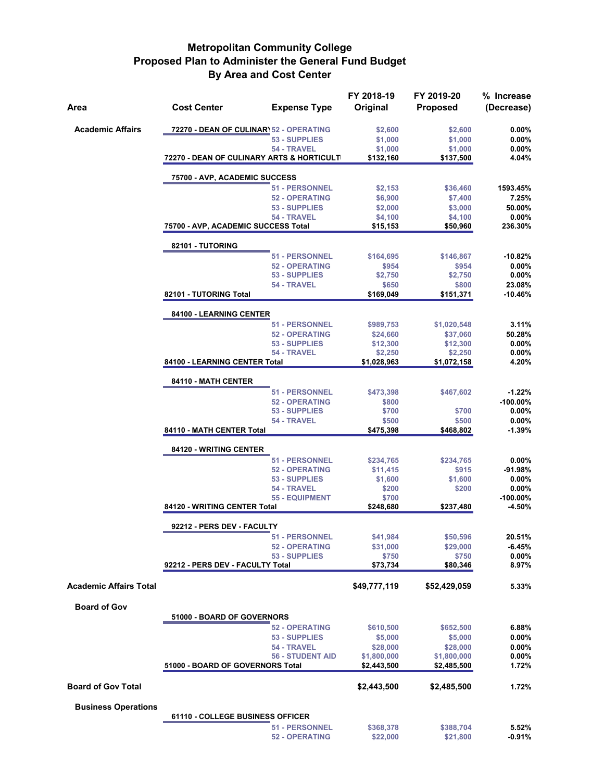| Area                          | <b>Cost Center</b>                         | <b>Expense Type</b>                  | FY 2018-19<br>Original     | FY 2019-20<br><b>Proposed</b> | % Increase<br>(Decrease) |
|-------------------------------|--------------------------------------------|--------------------------------------|----------------------------|-------------------------------|--------------------------|
| <b>Academic Affairs</b>       | 72270 - DEAN OF CULINAR) 52 - OPERATING    |                                      | \$2,600                    | \$2,600                       | $0.00\%$                 |
|                               |                                            | 53 - SUPPLIES                        | \$1,000                    | \$1,000                       | $0.00\%$                 |
|                               |                                            | 54 - TRAVEL                          | \$1,000                    | \$1,000                       | 0.00%                    |
|                               | 72270 - DEAN OF CULINARY ARTS & HORTICULTI |                                      | \$132,160                  | \$137,500                     | 4.04%                    |
|                               | 75700 - AVP, ACADEMIC SUCCESS              |                                      |                            |                               |                          |
|                               |                                            | 51 - PERSONNEL                       | \$2,153                    | \$36,460                      | 1593.45%                 |
|                               |                                            | <b>52 - OPERATING</b>                | \$6,900                    | \$7,400                       | 7.25%                    |
|                               |                                            | 53 - SUPPLIES                        | \$2,000                    | \$3,000                       | 50.00%                   |
|                               | 75700 - AVP, ACADEMIC SUCCESS Total        | 54 - TRAVEL                          | \$4,100<br>\$15,153        | \$4,100<br>\$50,960           | $0.00\%$<br>236.30%      |
|                               | 82101 - TUTORING                           |                                      |                            |                               |                          |
|                               |                                            | 51 - PERSONNEL                       | \$164,695                  | \$146,867                     | $-10.82%$                |
|                               |                                            | <b>52 - OPERATING</b>                | \$954                      | \$954                         | $0.00\%$                 |
|                               |                                            | 53 - SUPPLIES                        | \$2,750                    | \$2,750                       | 0.00%                    |
|                               |                                            | 54 - TRAVEL                          | \$650                      | \$800                         | 23.08%                   |
|                               | 82101 - TUTORING Total                     |                                      | \$169,049                  | \$151,371                     | $-10.46%$                |
|                               | 84100 - LEARNING CENTER                    |                                      |                            |                               |                          |
|                               |                                            | 51 - PERSONNEL                       | \$989,753                  | \$1,020,548                   | 3.11%                    |
|                               |                                            | <b>52 - OPERATING</b>                | \$24,660                   | \$37,060                      | 50.28%                   |
|                               |                                            | 53 - SUPPLIES                        | \$12,300                   | \$12,300                      | $0.00\%$                 |
|                               |                                            | 54 - TRAVEL                          | \$2,250                    | \$2,250                       | 0.00%                    |
|                               | 84100 - LEARNING CENTER Total              |                                      | \$1,028,963                | \$1,072,158                   | 4.20%                    |
|                               | 84110 - MATH CENTER                        |                                      |                            |                               |                          |
|                               |                                            | 51 - PERSONNEL                       | \$473,398                  | \$467,602                     | $-1.22%$                 |
|                               |                                            | <b>52 - OPERATING</b>                | \$800                      |                               | $-100.00\%$              |
|                               |                                            | 53 - SUPPLIES                        | \$700                      | \$700                         | $0.00\%$                 |
|                               | 84110 - MATH CENTER Total                  | 54 - TRAVEL                          | \$500<br>\$475,398         | \$500<br>\$468,802            | $0.00\%$<br>-1.39%       |
|                               |                                            |                                      |                            |                               |                          |
|                               | 84120 - WRITING CENTER                     |                                      |                            |                               |                          |
|                               |                                            | 51 - PERSONNEL                       | \$234,765                  | \$234,765                     | $0.00\%$                 |
|                               |                                            | <b>52 - OPERATING</b>                | \$11,415                   | \$915                         | -91.98%                  |
|                               |                                            | 53 - SUPPLIES                        | \$1,600                    | \$1,600                       | $0.00\%$<br>$0.00\%$     |
|                               |                                            | 54 - TRAVEL<br><b>55 - EQUIPMENT</b> | \$200<br>\$700             | \$200                         | $-100.00\%$              |
|                               | 84120 - WRITING CENTER Total               |                                      | \$248,680                  | \$237,480                     | $-4.50%$                 |
|                               | 92212 - PERS DEV - FACULTY                 |                                      |                            |                               |                          |
|                               |                                            | 51 - PERSONNEL                       | \$41,984                   | \$50,596                      | 20.51%                   |
|                               |                                            | <b>52 - OPERATING</b>                | \$31,000                   | \$29,000                      | $-6.45%$                 |
|                               |                                            | 53 - SUPPLIES                        | \$750                      | \$750                         | 0.00%                    |
|                               | 92212 - PERS DEV - FACULTY Total           |                                      | \$73,734                   | \$80,346                      | 8.97%                    |
| <b>Academic Affairs Total</b> |                                            |                                      | \$49,777,119               | \$52,429,059                  | 5.33%                    |
| <b>Board of Gov</b>           |                                            |                                      |                            |                               |                          |
|                               | 51000 - BOARD OF GOVERNORS                 |                                      |                            |                               |                          |
|                               |                                            | <b>52 - OPERATING</b>                | \$610,500                  | \$652,500                     | 6.88%                    |
|                               |                                            | 53 - SUPPLIES                        | \$5,000                    | \$5,000                       | 0.00%                    |
|                               |                                            | 54 - TRAVEL                          | \$28,000                   | \$28,000                      | $0.00\%$                 |
|                               | 51000 - BOARD OF GOVERNORS Total           | <b>56 - STUDENT AID</b>              | \$1,800,000<br>\$2,443,500 | \$1,800,000<br>\$2,485,500    | 0.00%<br>1.72%           |
|                               |                                            |                                      |                            |                               |                          |
| <b>Board of Gov Total</b>     |                                            |                                      | \$2,443,500                | \$2,485,500                   | 1.72%                    |
| <b>Business Operations</b>    |                                            |                                      |                            |                               |                          |
|                               | 61110 - COLLEGE BUSINESS OFFICER           |                                      |                            |                               |                          |
|                               |                                            | <b>51 - PERSONNEL</b>                | \$368,378                  | \$388,704                     | 5.52%                    |
|                               |                                            | <b>52 - OPERATING</b>                | \$22,000                   | \$21,800                      | $-0.91%$                 |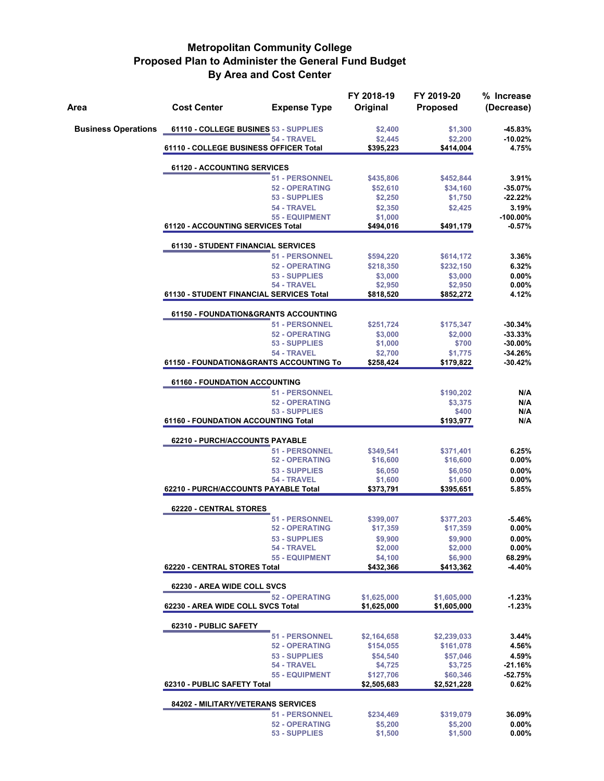| Area                       | <b>Cost Center</b>                       | <b>Expense Type</b>                                              | FY 2018-19<br>Original | FY 2019-20<br><b>Proposed</b> | % Increase<br>(Decrease) |  |  |  |  |
|----------------------------|------------------------------------------|------------------------------------------------------------------|------------------------|-------------------------------|--------------------------|--|--|--|--|
| <b>Business Operations</b> | 61110 - COLLEGE BUSINES 53 - SUPPLIES    |                                                                  | \$2,400                | \$1,300                       | -45.83%                  |  |  |  |  |
|                            |                                          | 54 - TRAVEL                                                      | \$2,445                | \$2,200                       | $-10.02%$<br>4.75%       |  |  |  |  |
|                            |                                          | 61110 - COLLEGE BUSINESS OFFICER Total<br>\$395,223<br>\$414,004 |                        |                               |                          |  |  |  |  |
|                            | 61120 - ACCOUNTING SERVICES              |                                                                  |                        |                               |                          |  |  |  |  |
|                            |                                          | 51 - PERSONNEL                                                   | \$435,806              | \$452,844                     | 3.91%                    |  |  |  |  |
|                            |                                          | <b>52 - OPERATING</b><br>53 - SUPPLIES                           | \$52,610<br>\$2,250    | \$34,160<br>\$1,750           | $-35.07%$<br>$-22.22%$   |  |  |  |  |
|                            |                                          | 54 - TRAVEL                                                      | \$2,350                | \$2,425                       | 3.19%                    |  |  |  |  |
|                            |                                          | <b>55 - EQUIPMENT</b>                                            | \$1,000                |                               | $-100.00\%$              |  |  |  |  |
|                            | 61120 - ACCOUNTING SERVICES Total        |                                                                  | \$494,016              | \$491,179                     | $-0.57%$                 |  |  |  |  |
|                            | 61130 - STUDENT FINANCIAL SERVICES       |                                                                  |                        |                               |                          |  |  |  |  |
|                            |                                          | 51 - PERSONNEL                                                   | \$594,220              | \$614,172                     | 3.36%                    |  |  |  |  |
|                            |                                          | <b>52 - OPERATING</b><br>53 - SUPPLIES                           | \$218,350<br>\$3,000   | \$232,150<br>\$3,000          | 6.32%<br>0.00%           |  |  |  |  |
|                            |                                          | 54 - TRAVEL                                                      | \$2,950                | \$2,950                       | 0.00%                    |  |  |  |  |
|                            | 61130 - STUDENT FINANCIAL SERVICES Total |                                                                  | \$818,520              | \$852,272                     | 4.12%                    |  |  |  |  |
|                            | 61150 - FOUNDATION&GRANTS ACCOUNTING     |                                                                  |                        |                               |                          |  |  |  |  |
|                            |                                          | <b>51 - PERSONNEL</b>                                            | \$251,724              | \$175,347                     | $-30.34%$                |  |  |  |  |
|                            |                                          | <b>52 - OPERATING</b>                                            | \$3,000                | \$2,000                       | $-33.33%$                |  |  |  |  |
|                            |                                          | 53 - SUPPLIES                                                    | \$1,000                | \$700                         | $-30.00\%$               |  |  |  |  |
|                            | 61150 - FOUNDATION&GRANTS ACCOUNTING To  | 54 - TRAVEL                                                      | \$2,700<br>\$258,424   | \$1,775<br>\$179,822          | $-34.26%$<br>$-30.42%$   |  |  |  |  |
|                            |                                          |                                                                  |                        |                               |                          |  |  |  |  |
|                            | <b>61160 - FOUNDATION ACCOUNTING</b>     |                                                                  |                        |                               |                          |  |  |  |  |
|                            |                                          | <b>51 - PERSONNEL</b><br><b>52 - OPERATING</b>                   |                        | \$190,202                     | N/A<br>N/A               |  |  |  |  |
|                            |                                          | 53 - SUPPLIES                                                    |                        | \$3,375<br>\$400              | N/A                      |  |  |  |  |
|                            | 61160 - FOUNDATION ACCOUNTING Total      |                                                                  |                        | \$193,977                     | N/A                      |  |  |  |  |
|                            | 62210 - PURCH/ACCOUNTS PAYABLE           |                                                                  |                        |                               |                          |  |  |  |  |
|                            |                                          | 51 - PERSONNEL                                                   | \$349,541              | \$371,401                     | 6.25%                    |  |  |  |  |
|                            |                                          | <b>52 - OPERATING</b>                                            | \$16,600               | \$16,600                      | $0.00\%$                 |  |  |  |  |
|                            |                                          | 53 - SUPPLIES                                                    | \$6,050                | \$6,050                       | $0.00\%$                 |  |  |  |  |
|                            | 62210 - PURCH/ACCOUNTS PAYABLE Total     | 54 - TRAVEL                                                      | \$1,600<br>\$373,791   | \$1,600<br>\$395,651          | $0.00\%$<br>5.85%        |  |  |  |  |
|                            |                                          |                                                                  |                        |                               |                          |  |  |  |  |
|                            | 62220 - CENTRAL STORES                   | 51 - PERSONNEL                                                   | \$399,007              | \$377,203                     | $-5.46%$                 |  |  |  |  |
|                            |                                          | <b>52 - OPERATING</b>                                            | \$17,359               | \$17,359                      | $0.00\%$                 |  |  |  |  |
|                            |                                          | 53 - SUPPLIES                                                    | \$9,900                | \$9,900                       | $0.00\%$                 |  |  |  |  |
|                            |                                          | 54 - TRAVEL                                                      | \$2,000                | \$2,000                       | 0.00%                    |  |  |  |  |
|                            | 62220 - CENTRAL STORES Total             | <b>55 - EQUIPMENT</b>                                            | \$4.100<br>\$432,366   | \$6,900<br>\$413,362          | 68.29%<br>-4.40%         |  |  |  |  |
|                            | 62230 - AREA WIDE COLL SVCS              |                                                                  |                        |                               |                          |  |  |  |  |
|                            |                                          | <b>52 - OPERATING</b>                                            | \$1,625,000            | \$1,605,000                   | $-1.23%$                 |  |  |  |  |
|                            | 62230 - AREA WIDE COLL SVCS Total        |                                                                  | \$1,625,000            | \$1,605,000                   | $-1.23%$                 |  |  |  |  |
|                            | 62310 - PUBLIC SAFETY                    |                                                                  |                        |                               |                          |  |  |  |  |
|                            |                                          | 51 - PERSONNEL                                                   | \$2,164,658            | \$2,239,033                   | 3.44%                    |  |  |  |  |
|                            |                                          | <b>52 - OPERATING</b>                                            | \$154,055              | \$161,078                     | 4.56%                    |  |  |  |  |
|                            |                                          | 53 - SUPPLIES<br>54 - TRAVEL                                     | \$54,540               | \$57,046                      | 4.59%                    |  |  |  |  |
|                            |                                          | <b>55 - EQUIPMENT</b>                                            | \$4,725<br>\$127,706   | \$3,725<br>\$60,346           | $-21.16%$<br>$-52.75%$   |  |  |  |  |
|                            | 62310 - PUBLIC SAFETY Total              |                                                                  | \$2,505,683            | \$2,521,228                   | 0.62%                    |  |  |  |  |
|                            | 84202 - MILITARY/VETERANS SERVICES       |                                                                  |                        |                               |                          |  |  |  |  |
|                            |                                          | <b>51 - PERSONNEL</b>                                            | \$234,469              | \$319,079                     | 36.09%                   |  |  |  |  |
|                            |                                          | <b>52 - OPERATING</b>                                            | \$5,200                | \$5,200                       | $0.00\%$                 |  |  |  |  |
|                            |                                          | 53 - SUPPLIES                                                    | \$1,500                | \$1,500                       | $0.00\%$                 |  |  |  |  |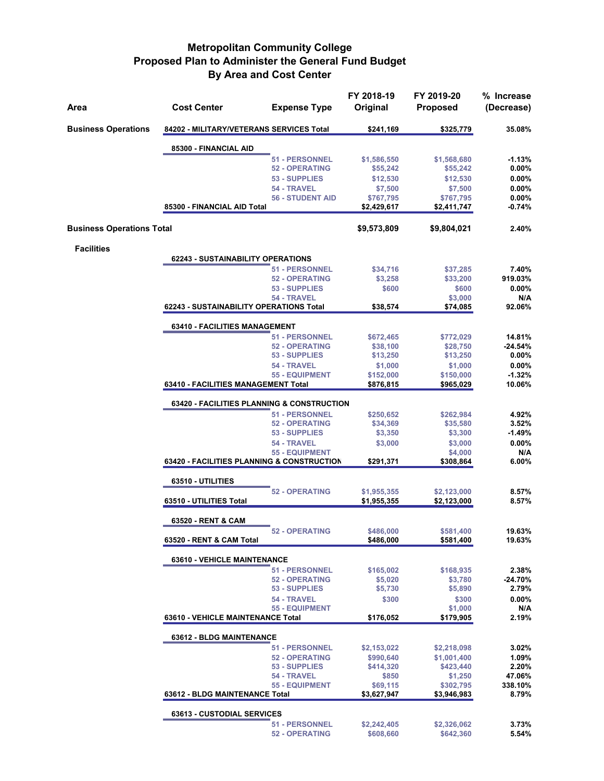| Area                             | <b>Cost Center</b>                                    | <b>Expense Type</b>                                                     | FY 2018-19<br>Original   | FY 2019-20<br><b>Proposed</b> | % Increase<br>(Decrease) |  |  |  |
|----------------------------------|-------------------------------------------------------|-------------------------------------------------------------------------|--------------------------|-------------------------------|--------------------------|--|--|--|
| <b>Business Operations</b>       | 84202 - MILITARY/VETERANS SERVICES Total              |                                                                         | \$241,169                | \$325,779                     | 35.08%                   |  |  |  |
|                                  | 85300 - FINANCIAL AID                                 |                                                                         |                          |                               |                          |  |  |  |
|                                  |                                                       | <b>51 - PERSONNEL</b>                                                   | \$1,586,550              | \$1,568,680                   | $-1.13%$                 |  |  |  |
|                                  |                                                       | <b>52 - OPERATING</b>                                                   | \$55,242                 | \$55,242                      | $0.00\%$                 |  |  |  |
|                                  |                                                       | 53 - SUPPLIES                                                           | \$12,530                 | \$12,530                      | 0.00%                    |  |  |  |
|                                  |                                                       | 54 - TRAVEL                                                             | \$7,500                  | \$7,500                       | 0.00%                    |  |  |  |
|                                  | 85300 - FINANCIAL AID Total                           | <b>56 - STUDENT AID</b>                                                 | \$767,795<br>\$2,429,617 | \$767,795<br>\$2,411,747      | 0.00%<br>$-0.74%$        |  |  |  |
| <b>Business Operations Total</b> |                                                       |                                                                         | \$9,573,809              | \$9,804,021                   | 2.40%                    |  |  |  |
| <b>Facilities</b>                |                                                       |                                                                         |                          |                               |                          |  |  |  |
|                                  | <b>62243 - SUSTAINABILITY OPERATIONS</b>              |                                                                         |                          |                               |                          |  |  |  |
|                                  |                                                       | <b>51 - PERSONNEL</b>                                                   | \$34,716                 | \$37,285                      | 7.40%                    |  |  |  |
|                                  |                                                       | <b>52 - OPERATING</b>                                                   | \$3,258                  | \$33,200                      | 919.03%                  |  |  |  |
|                                  |                                                       | 53 - SUPPLIES                                                           | \$600                    | \$600                         | 0.00%                    |  |  |  |
|                                  | 62243 - SUSTAINABILITY OPERATIONS Total               | 54 - TRAVEL                                                             | \$38,574                 | \$3,000<br>\$74,085           | N/A<br>92.06%            |  |  |  |
|                                  | 63410 - FACILITIES MANAGEMENT                         |                                                                         |                          |                               |                          |  |  |  |
|                                  |                                                       | 51 - PERSONNEL                                                          | \$672,465                | \$772,029                     | 14.81%                   |  |  |  |
|                                  |                                                       | <b>52 - OPERATING</b>                                                   | \$38,100                 | \$28,750                      | $-24.54%$                |  |  |  |
|                                  |                                                       | 53 - SUPPLIES                                                           | \$13,250                 | \$13,250                      | $0.00\%$                 |  |  |  |
|                                  |                                                       | 54 - TRAVEL                                                             | \$1,000                  | \$1,000                       | 0.00%                    |  |  |  |
|                                  |                                                       | <b>55 - EQUIPMENT</b>                                                   | \$152,000                | \$150,000                     | $-1.32%$                 |  |  |  |
|                                  |                                                       | 10.06%<br>63410 - FACILITIES MANAGEMENT Total<br>\$876,815<br>\$965,029 |                          |                               |                          |  |  |  |
|                                  | <b>63420 - FACILITIES PLANNING &amp; CONSTRUCTION</b> |                                                                         | \$262,984                | 4.92%                         |                          |  |  |  |
|                                  |                                                       | 51 - PERSONNEL<br><b>52 - OPERATING</b>                                 | \$250,652<br>\$34,369    | \$35,580                      | 3.52%                    |  |  |  |
|                                  |                                                       | 53 - SUPPLIES                                                           | \$3,350                  | \$3,300                       | $-1.49%$                 |  |  |  |
|                                  |                                                       | 54 - TRAVEL                                                             | \$3,000                  | \$3,000                       | 0.00%                    |  |  |  |
|                                  |                                                       | <b>55 - EQUIPMENT</b>                                                   |                          | \$4,000                       | N/A                      |  |  |  |
|                                  | 63420 - FACILITIES PLANNING & CONSTRUCTION            |                                                                         | \$291,371                | \$308,864                     | 6.00%                    |  |  |  |
|                                  | 63510 - UTILITIES                                     |                                                                         |                          |                               |                          |  |  |  |
|                                  |                                                       | <b>52 - OPERATING</b>                                                   | \$1,955,355              | \$2,123,000                   | 8.57%                    |  |  |  |
|                                  | 63510 - UTILITIES Total                               |                                                                         | \$1,955,355              | \$2,123,000                   | 8.57%                    |  |  |  |
|                                  | 63520 - RENT & CAM                                    |                                                                         |                          |                               |                          |  |  |  |
|                                  | 63520 - RENT & CAM Total                              | <b>52 - OPERATING</b>                                                   | \$486,000<br>\$486,000   | \$581,400<br>\$581,400        | 19.63%<br>19.63%         |  |  |  |
|                                  | <b>63610 - VEHICLE MAINTENANCE</b>                    |                                                                         |                          |                               |                          |  |  |  |
|                                  |                                                       | <b>51 - PERSONNEL</b>                                                   | \$165,002                | \$168,935                     | 2.38%                    |  |  |  |
|                                  |                                                       | <b>52 - OPERATING</b>                                                   | \$5,020                  | \$3,780                       | $-24.70%$                |  |  |  |
|                                  |                                                       | 53 - SUPPLIES                                                           | \$5,730                  | \$5,890                       | 2.79%                    |  |  |  |
|                                  |                                                       | 54 - TRAVEL                                                             | \$300                    | \$300                         | 0.00%                    |  |  |  |
|                                  |                                                       | <b>55 - EQUIPMENT</b>                                                   |                          | \$1,000                       | N/A<br>2.19%             |  |  |  |
|                                  | 63610 - VEHICLE MAINTENANCE Total                     |                                                                         | \$176,052                | \$179,905                     |                          |  |  |  |
|                                  | <b>63612 - BLDG MAINTENANCE</b>                       |                                                                         |                          |                               |                          |  |  |  |
|                                  |                                                       | <b>51 - PERSONNEL</b>                                                   | \$2,153,022              | \$2,218,098                   | 3.02%                    |  |  |  |
|                                  |                                                       | <b>52 - OPERATING</b>                                                   | \$990,640                | \$1,001,400                   | 1.09%                    |  |  |  |
|                                  |                                                       | 53 - SUPPLIES                                                           | \$414,320                | \$423,440                     | 2.20%                    |  |  |  |
|                                  |                                                       | 54 - TRAVEL<br><b>55 - EQUIPMENT</b>                                    | \$850<br>\$69,115        | \$1,250<br>\$302,795          | 47.06%<br>338.10%        |  |  |  |
|                                  | 63612 - BLDG MAINTENANCE Total                        |                                                                         | \$3,627,947              | \$3,946,983                   | 8.79%                    |  |  |  |
|                                  | 63613 - CUSTODIAL SERVICES                            |                                                                         |                          |                               |                          |  |  |  |
|                                  |                                                       | <b>51 - PERSONNEL</b>                                                   | \$2,242,405              | \$2,326,062                   | 3.73%                    |  |  |  |
|                                  |                                                       | <b>52 - OPERATING</b>                                                   | \$608,660                | \$642,360                     | 5.54%                    |  |  |  |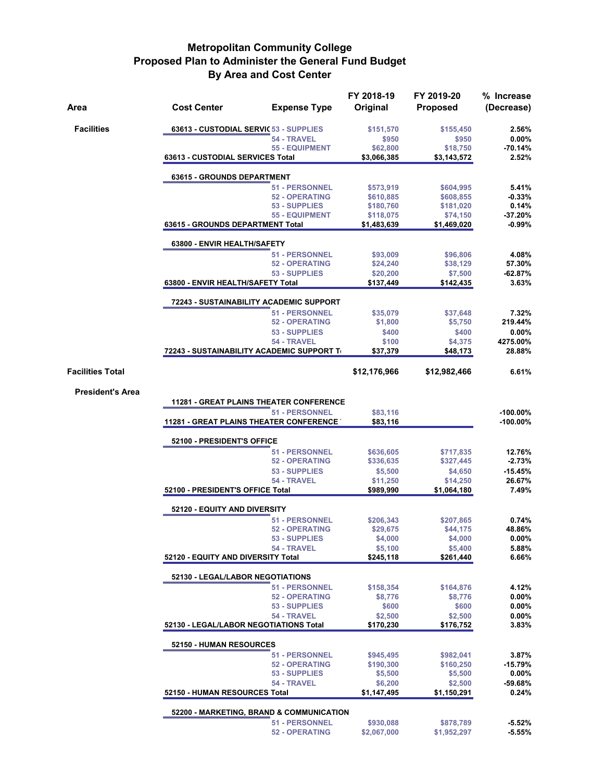| Area                    | <b>Cost Center</b>                                          | <b>Expense Type</b>                    | FY 2018-19<br>Original | FY 2019-20<br><b>Proposed</b> | % Increase<br>(Decrease) |  |  |
|-------------------------|-------------------------------------------------------------|----------------------------------------|------------------------|-------------------------------|--------------------------|--|--|
| <b>Facilities</b>       | 63613 - CUSTODIAL SERVIC 53 - SUPPLIES                      |                                        | \$151,570              | \$155,450                     | 2.56%                    |  |  |
|                         |                                                             | 54 - TRAVEL                            | \$950                  | \$950                         | $0.00\%$                 |  |  |
|                         |                                                             | <b>55 - EQUIPMENT</b>                  | \$62,800               | \$18,750                      | $-70.14%$                |  |  |
|                         | 63613 - CUSTODIAL SERVICES Total                            |                                        | \$3,066,385            | \$3,143,572                   | 2.52%                    |  |  |
|                         | 63615 - GROUNDS DEPARTMENT                                  |                                        |                        |                               |                          |  |  |
|                         |                                                             | 51 - PERSONNEL                         | \$573,919              | \$604,995                     | 5.41%                    |  |  |
|                         |                                                             | <b>52 - OPERATING</b><br>53 - SUPPLIES | \$610,885<br>\$180,760 | \$608,855<br>\$181,020        | $-0.33%$<br>0.14%        |  |  |
|                         |                                                             | <b>55 - EQUIPMENT</b>                  | \$118,075              | \$74,150                      | $-37.20%$                |  |  |
|                         | 63615 - GROUNDS DEPARTMENT Total                            |                                        | \$1,483,639            | \$1,469,020                   | $-0.99%$                 |  |  |
|                         | 63800 - ENVIR HEALTH/SAFETY                                 |                                        |                        |                               |                          |  |  |
|                         |                                                             | 51 - PERSONNEL                         | \$93,009               | \$96,806                      | 4.08%                    |  |  |
|                         |                                                             | <b>52 - OPERATING</b>                  | \$24,240               | \$38,129                      | 57.30%                   |  |  |
|                         |                                                             | 53 - SUPPLIES                          | \$20,200               | \$7,500                       | $-62.87%$                |  |  |
|                         | 63800 - ENVIR HEALTH/SAFETY Total                           |                                        | \$137,449              | \$142,435                     | 3.63%                    |  |  |
|                         | 72243 - SUSTAINABILITY ACADEMIC SUPPORT                     |                                        |                        |                               |                          |  |  |
|                         |                                                             | <b>51 - PERSONNEL</b>                  | \$35,079               | \$37,648                      | 7.32%                    |  |  |
|                         |                                                             | <b>52 - OPERATING</b>                  | \$1,800                | \$5,750                       | 219.44%                  |  |  |
|                         |                                                             | 53 - SUPPLIES                          | \$400                  | \$400                         | 0.00%                    |  |  |
|                         | 72243 - SUSTAINABILITY ACADEMIC SUPPORT TO                  | 54 - TRAVEL                            | \$100<br>\$37,379      | \$4,375<br>\$48,173           | 4275.00%<br>28.88%       |  |  |
| <b>Facilities Total</b> |                                                             |                                        | \$12,176,966           | \$12,982,466                  | 6.61%                    |  |  |
|                         |                                                             |                                        |                        |                               |                          |  |  |
| <b>President's Area</b> | <b>11281 - GREAT PLAINS THEATER CONFERENCE</b>              |                                        |                        |                               |                          |  |  |
|                         |                                                             | <b>51 - PERSONNEL</b>                  | \$83,116               |                               | $-100.00\%$              |  |  |
|                         | <b>11281 - GREAT PLAINS THEATER CONFERENCE</b>              |                                        | \$83,116               |                               | $-100.00\%$              |  |  |
|                         | 52100 - PRESIDENT'S OFFICE                                  |                                        |                        |                               |                          |  |  |
|                         |                                                             | <b>51 - PERSONNEL</b>                  | \$636,605              | \$717,835                     | 12.76%                   |  |  |
|                         |                                                             | <b>52 - OPERATING</b>                  | \$336,635              | \$327,445                     | $-2.73%$                 |  |  |
|                         |                                                             | 53 - SUPPLIES                          | \$5,500                | \$4,650                       | $-15.45%$                |  |  |
|                         |                                                             | 54 - TRAVEL                            | \$11,250               | \$14,250                      | 26.67%                   |  |  |
|                         | 52100 - PRESIDENT'S OFFICE Total                            |                                        | \$989,990              | \$1,064,180                   | 7.49%                    |  |  |
|                         | 52120 - EQUITY AND DIVERSITY                                |                                        |                        |                               |                          |  |  |
|                         |                                                             | 51 - PERSONNEL                         | \$206,343              | \$207,865                     | 0.74%                    |  |  |
|                         |                                                             | <b>52 - OPERATING</b>                  | \$29,675               | \$44,175                      | 48.86%                   |  |  |
|                         |                                                             | 53 - SUPPLIES                          | \$4,000                | \$4,000                       | $0.00\%$                 |  |  |
|                         | 52120 - EQUITY AND DIVERSITY Total                          | 54 - TRAVEL                            | \$5,100<br>\$245,118   | \$5,400<br>\$261,440          | 5.88%<br>6.66%           |  |  |
|                         | 52130 - LEGAL/LABOR NEGOTIATIONS                            |                                        |                        |                               |                          |  |  |
|                         |                                                             | 51 - PERSONNEL                         | \$158,354              | \$164,876                     | 4.12%                    |  |  |
|                         |                                                             | <b>52 - OPERATING</b>                  | \$8,776                | \$8,776                       | 0.00%                    |  |  |
|                         |                                                             | 53 - SUPPLIES                          | \$600                  | \$600                         | $0.00\%$                 |  |  |
|                         |                                                             | 54 - TRAVEL                            | \$2,500                | \$2,500                       | $0.00\%$                 |  |  |
|                         | 52130 - LEGAL/LABOR NEGOTIATIONS Total                      |                                        | \$170,230              | \$176,752                     | 3.83%                    |  |  |
|                         | 52150 - HUMAN RESOURCES                                     |                                        |                        |                               |                          |  |  |
|                         |                                                             | 51 - PERSONNEL                         | \$945,495              | \$982,041                     | 3.87%                    |  |  |
|                         |                                                             | <b>52 - OPERATING</b>                  | \$190,300              | \$160,250                     | $-15.79%$                |  |  |
|                         |                                                             | 53 - SUPPLIES                          | \$5,500                | \$5,500                       | 0.00%                    |  |  |
|                         |                                                             | 54 - TRAVEL                            | \$6,200                | \$2,500                       | $-59.68%$                |  |  |
|                         | 52150 - HUMAN RESOURCES Total<br>\$1,150,291<br>\$1,147,495 |                                        |                        |                               |                          |  |  |
|                         | 52200 - MARKETING, BRAND & COMMUNICATION                    |                                        |                        |                               |                          |  |  |
|                         |                                                             | <b>51 - PERSONNEL</b>                  | \$930,088              | \$878,789                     | $-5.52%$                 |  |  |
|                         |                                                             | <b>52 - OPERATING</b>                  | \$2,067,000            | \$1,952,297                   | $-5.55%$                 |  |  |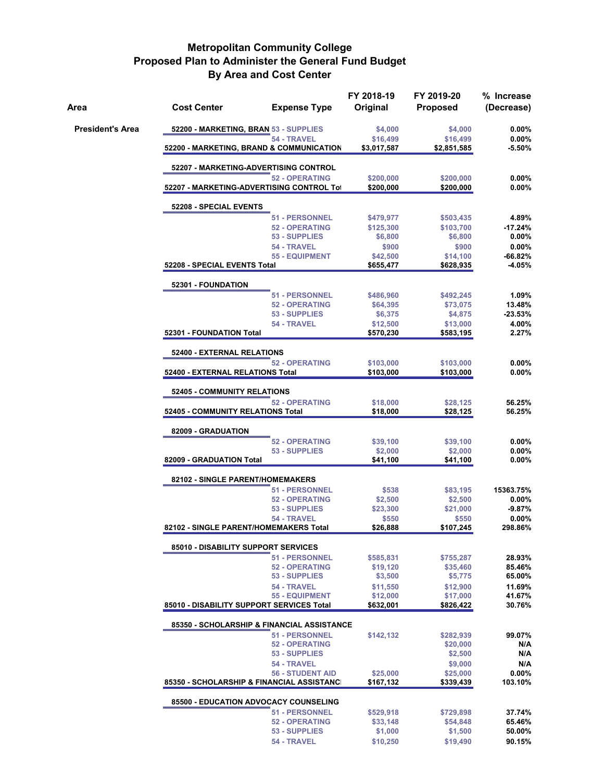| Area                    | <b>Cost Center</b>                                                     | <b>Expense Type</b>                            | FY 2018-19<br>Original | FY 2019-20<br><b>Proposed</b> | % Increase<br>(Decrease) |  |  |  |
|-------------------------|------------------------------------------------------------------------|------------------------------------------------|------------------------|-------------------------------|--------------------------|--|--|--|
| <b>President's Area</b> | 52200 - MARKETING, BRAN 53 - SUPPLIES                                  |                                                | \$4,000                | \$4,000                       | $0.00\%$                 |  |  |  |
|                         |                                                                        | 54 - TRAVEL                                    | \$16,499               | \$16,499                      | $0.00\%$<br>$-5.50%$     |  |  |  |
|                         | 52200 - MARKETING, BRAND & COMMUNICATION<br>\$3,017,587<br>\$2,851,585 |                                                |                        |                               |                          |  |  |  |
|                         | 52207 - MARKETING-ADVERTISING CONTROL                                  |                                                |                        |                               |                          |  |  |  |
|                         | 52207 - MARKETING-ADVERTISING CONTROL Tot                              | <b>52 - OPERATING</b>                          | \$200,000<br>\$200,000 | \$200,000<br>\$200,000        | $0.00\%$<br>$0.00\%$     |  |  |  |
|                         |                                                                        |                                                |                        |                               |                          |  |  |  |
|                         | 52208 - SPECIAL EVENTS                                                 |                                                |                        |                               |                          |  |  |  |
|                         |                                                                        | <b>51 - PERSONNEL</b><br><b>52 - OPERATING</b> | \$479,977<br>\$125,300 | \$503,435<br>\$103,700        | 4.89%<br>$-17.24%$       |  |  |  |
|                         |                                                                        | 53 - SUPPLIES                                  | \$6,800                | \$6,800                       | $0.00\%$                 |  |  |  |
|                         |                                                                        | 54 - TRAVEL                                    | \$900                  | \$900                         | 0.00%                    |  |  |  |
|                         | 52208 - SPECIAL EVENTS Total                                           | 55 - EQUIPMENT                                 | \$42,500<br>\$655,477  | \$14,100<br>\$628,935         | $-66.82%$<br>-4.05%      |  |  |  |
|                         |                                                                        |                                                |                        |                               |                          |  |  |  |
|                         | 52301 - FOUNDATION                                                     |                                                |                        |                               |                          |  |  |  |
|                         |                                                                        | <b>51 - PERSONNEL</b><br><b>52 - OPERATING</b> | \$486,960<br>\$64,395  | \$492,245<br>\$73,075         | 1.09%<br>13.48%          |  |  |  |
|                         |                                                                        | 53 - SUPPLIES                                  | \$6,375                | \$4,875                       | $-23.53%$                |  |  |  |
|                         |                                                                        | 54 - TRAVEL                                    | \$12,500               | \$13,000                      | 4.00%                    |  |  |  |
|                         | 52301 - FOUNDATION Total                                               |                                                | \$570,230              | \$583,195                     | 2.27%                    |  |  |  |
|                         | 52400 - EXTERNAL RELATIONS                                             |                                                |                        |                               |                          |  |  |  |
|                         |                                                                        | <b>52 - OPERATING</b>                          | \$103,000              | \$103,000                     | $0.00\%$                 |  |  |  |
|                         | 52400 - EXTERNAL RELATIONS Total                                       |                                                | \$103,000              | \$103,000                     | $0.00\%$                 |  |  |  |
|                         | 52405 - COMMUNITY RELATIONS                                            |                                                |                        |                               |                          |  |  |  |
|                         |                                                                        | <b>52 - OPERATING</b>                          | \$18,000               | \$28,125                      | 56.25%                   |  |  |  |
|                         | 52405 - COMMUNITY RELATIONS Total                                      |                                                | \$18,000               | \$28,125                      | 56.25%                   |  |  |  |
|                         | 82009 - GRADUATION                                                     |                                                |                        |                               |                          |  |  |  |
|                         |                                                                        | <b>52 - OPERATING</b>                          | \$39,100               | \$39,100                      | $0.00\%$                 |  |  |  |
|                         |                                                                        | 53 - SUPPLIES                                  | \$2,000                | \$2,000                       | 0.00%                    |  |  |  |
|                         | 82009 - GRADUATION Total                                               |                                                | \$41,100               | \$41,100                      | $0.00\%$                 |  |  |  |
|                         | 82102 - SINGLE PARENT/HOMEMAKERS                                       |                                                |                        |                               |                          |  |  |  |
|                         |                                                                        | <b>51 - PERSONNEL</b>                          | \$538                  | \$83,195                      | 15363.75%                |  |  |  |
|                         |                                                                        | <b>52 - OPERATING</b><br>53 - SUPPLIES         | \$2,500<br>\$23,300    | \$2,500<br>\$21,000           | $0.00\%$<br>$-9.87%$     |  |  |  |
|                         |                                                                        | 54 - TRAVEL                                    | \$550                  | \$550                         | $0.00\%$                 |  |  |  |
|                         | 82102 - SINGLE PARENT/HOMEMAKERS Total                                 |                                                | \$26,888               | \$107,245                     | 298.86%                  |  |  |  |
|                         | 85010 - DISABILITY SUPPORT SERVICES                                    |                                                |                        |                               |                          |  |  |  |
|                         |                                                                        | <b>51 - PERSONNEL</b>                          | \$585,831              | \$755,287                     | 28.93%                   |  |  |  |
|                         |                                                                        | <b>52 - OPERATING</b>                          | \$19,120               | \$35,460                      | 85.46%                   |  |  |  |
|                         |                                                                        | 53 - SUPPLIES                                  | \$3,500                | \$5,775                       | 65.00%                   |  |  |  |
|                         |                                                                        | 54 - TRAVEL                                    | \$11,550               | \$12,900                      | 11.69%                   |  |  |  |
|                         | 85010 - DISABILITY SUPPORT SERVICES Total                              | <b>55 - EQUIPMENT</b>                          | \$12,000<br>\$632,001  | \$17,000<br>\$826,422         | 41.67%<br>30.76%         |  |  |  |
|                         |                                                                        |                                                |                        |                               |                          |  |  |  |
|                         | 85350 - SCHOLARSHIP & FINANCIAL ASSISTANCE                             | <b>51 - PERSONNEL</b>                          | \$142,132              | \$282,939                     | 99.07%                   |  |  |  |
|                         |                                                                        | <b>52 - OPERATING</b>                          |                        | \$20,000                      | N/A                      |  |  |  |
|                         |                                                                        | 53 - SUPPLIES                                  |                        | \$2,500                       | N/A                      |  |  |  |
|                         |                                                                        | 54 - TRAVEL                                    |                        | \$9,000                       | N/A                      |  |  |  |
|                         |                                                                        | <b>56 - STUDENT AID</b>                        | \$25,000               | \$25,000                      | 0.00%                    |  |  |  |
|                         | 85350 - SCHOLARSHIP & FINANCIAL ASSISTANCI                             |                                                | \$167,132              | \$339,439                     | 103.10%                  |  |  |  |
|                         | 85500 - EDUCATION ADVOCACY COUNSELING                                  |                                                |                        |                               |                          |  |  |  |
|                         |                                                                        | <b>51 - PERSONNEL</b>                          | \$529,918              | \$729,898                     | 37.74%                   |  |  |  |
|                         |                                                                        | <b>52 - OPERATING</b><br>53 - SUPPLIES         | \$33,148<br>\$1,000    | \$54,848<br>\$1,500           | 65.46%<br>50.00%         |  |  |  |
|                         |                                                                        | 54 - TRAVEL                                    | \$10,250               | \$19,490                      | 90.15%                   |  |  |  |
|                         |                                                                        |                                                |                        |                               |                          |  |  |  |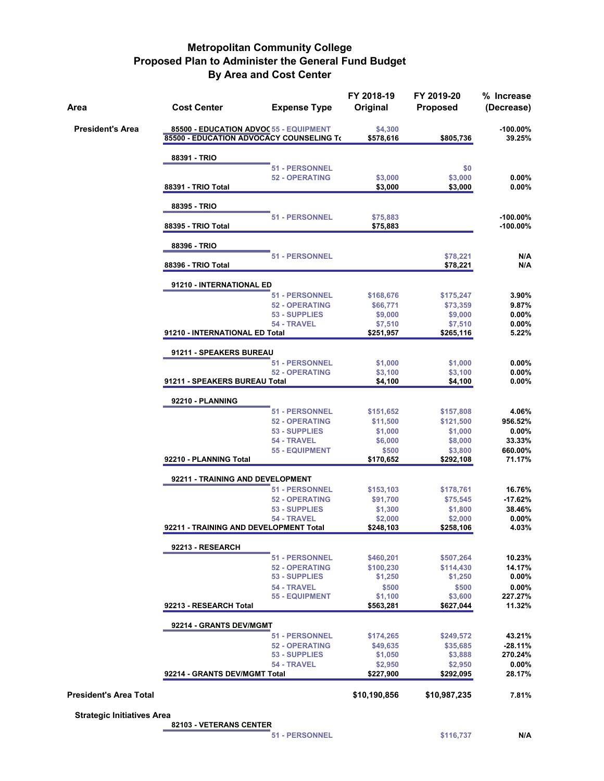| Area                              | <b>Cost Center</b>                                                                 | <b>Expense Type</b>                  | FY 2018-19<br>Original | FY 2019-20<br><b>Proposed</b> | % Increase<br>(Decrease)   |
|-----------------------------------|------------------------------------------------------------------------------------|--------------------------------------|------------------------|-------------------------------|----------------------------|
| <b>President's Area</b>           | 85500 - EDUCATION ADVOC 55 - EQUIPMENT<br>85500 - EDUCATION ADVOCACY COUNSELING To |                                      | \$4,300<br>\$578,616   | \$805,736                     | $-100.00\%$<br>39.25%      |
|                                   | 88391 - TRIO                                                                       |                                      |                        |                               |                            |
|                                   |                                                                                    | 51 - PERSONNEL                       |                        | \$0                           |                            |
|                                   | 88391 - TRIO Total                                                                 | <b>52 - OPERATING</b>                | \$3,000<br>\$3,000     | \$3,000<br>\$3,000            | 0.00%<br>0.00%             |
|                                   |                                                                                    |                                      |                        |                               |                            |
|                                   | 88395 - TRIO                                                                       |                                      |                        |                               |                            |
|                                   | 88395 - TRIO Total                                                                 | 51 - PERSONNEL                       | \$75,883<br>\$75,883   |                               | $-100.00\%$<br>$-100.00\%$ |
|                                   |                                                                                    |                                      |                        |                               |                            |
|                                   | 88396 - TRIO                                                                       | <b>51 - PERSONNEL</b>                |                        | \$78,221                      | N/A                        |
|                                   | 88396 - TRIO Total                                                                 |                                      |                        | \$78,221                      | N/A                        |
|                                   | 91210 - INTERNATIONAL ED                                                           |                                      |                        |                               |                            |
|                                   |                                                                                    | 51 - PERSONNEL                       | \$168,676              | \$175,247                     | 3.90%                      |
|                                   |                                                                                    | <b>52 - OPERATING</b>                | \$66,771               | \$73,359                      | 9.87%                      |
|                                   |                                                                                    | 53 - SUPPLIES<br>54 - TRAVEL         | \$9,000<br>\$7,510     | \$9,000<br>\$7,510            | $0.00\%$<br>$0.00\%$       |
|                                   | 91210 - INTERNATIONAL ED Total                                                     |                                      | \$251,957              | \$265,116                     | 5.22%                      |
|                                   | 91211 - SPEAKERS BUREAU                                                            |                                      |                        |                               |                            |
|                                   |                                                                                    | 51 - PERSONNEL                       | \$1,000                | \$1,000                       | 0.00%                      |
|                                   |                                                                                    | <b>52 - OPERATING</b>                | \$3,100                | \$3,100                       | 0.00%                      |
|                                   | 91211 - SPEAKERS BUREAU Total                                                      |                                      | \$4,100                | \$4,100                       | $0.00\%$                   |
|                                   | 92210 - PLANNING                                                                   |                                      |                        |                               |                            |
|                                   |                                                                                    | 51 - PERSONNEL                       | \$151,652              | \$157,808                     | 4.06%                      |
|                                   |                                                                                    | <b>52 - OPERATING</b>                | \$11,500               | \$121,500                     | 956.52%                    |
|                                   |                                                                                    | 53 - SUPPLIES<br>54 - TRAVEL         | \$1,000<br>\$6,000     | \$1,000<br>\$8,000            | $0.00\%$<br>33.33%         |
|                                   |                                                                                    | <b>55 - EQUIPMENT</b>                | \$500                  | \$3,800                       | 660.00%                    |
|                                   | 92210 - PLANNING Total                                                             |                                      | \$170,652              | \$292,108                     | 71.17%                     |
|                                   | 92211 - TRAINING AND DEVELOPMENT                                                   |                                      |                        |                               |                            |
|                                   |                                                                                    | 51 - PERSONNEL                       | \$153,103              | \$178,761                     | 16.76%                     |
|                                   |                                                                                    | <b>52 - OPERATING</b>                | \$91,700               | \$75,545                      | $-17.62%$                  |
|                                   |                                                                                    | 53 - SUPPLIES<br>54 - TRAVEL         | \$1,300<br>\$2,000     | \$1,800<br>\$2,000            | 38.46%<br>$0.00\%$         |
|                                   | 92211 - TRAINING AND DEVELOPMENT Total                                             |                                      | \$248,103              | \$258,106                     | 4.03%                      |
|                                   | 92213 - RESEARCH                                                                   |                                      |                        |                               |                            |
|                                   |                                                                                    | 51 - PERSONNEL                       | \$460,201              | \$507,264                     | 10.23%                     |
|                                   |                                                                                    | <b>52 - OPERATING</b>                | \$100,230              | \$114,430                     | 14.17%                     |
|                                   |                                                                                    | 53 - SUPPLIES                        | \$1,250                | \$1,250                       | $0.00\%$                   |
|                                   |                                                                                    | 54 - TRAVEL<br><b>55 - EQUIPMENT</b> | \$500<br>\$1,100       | \$500<br>\$3,600              | $0.00\%$<br>227.27%        |
|                                   | 92213 - RESEARCH Total                                                             |                                      | \$563,281              | \$627,044                     | 11.32%                     |
|                                   | 92214 - GRANTS DEV/MGMT                                                            |                                      |                        |                               |                            |
|                                   |                                                                                    | 51 - PERSONNEL                       | \$174,265              | \$249,572                     | 43.21%                     |
|                                   |                                                                                    | <b>52 - OPERATING</b>                | \$49,635               | \$35,685                      | $-28.11%$                  |
|                                   |                                                                                    | 53 - SUPPLIES                        | \$1,050                | \$3,888                       | 270.24%                    |
|                                   | 92214 - GRANTS DEV/MGMT Total                                                      | 54 - TRAVEL                          | \$2,950<br>\$227,900   | \$2,950<br>\$292,095          | $0.00\%$<br>28.17%         |
| <b>President's Area Total</b>     |                                                                                    |                                      | \$10,190,856           | \$10,987,235                  | 7.81%                      |
| <b>Strategic Initiatives Area</b> |                                                                                    |                                      |                        |                               |                            |

**82103 - VETERANS CENTER**

**51 - PERSONNEL \$116,737 N/A**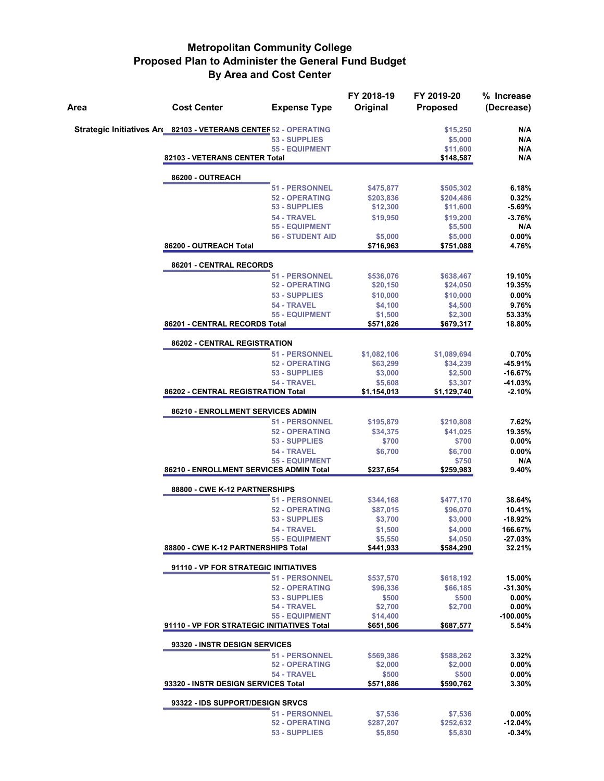| Area | <b>Cost Center</b>                                              | <b>Expense Type</b>                              | FY 2018-19<br>Original | FY 2019-20<br><b>Proposed</b> | % Increase<br>(Decrease) |
|------|-----------------------------------------------------------------|--------------------------------------------------|------------------------|-------------------------------|--------------------------|
|      | Strategic Initiatives Ar 82103 - VETERANS CENTEF 52 - OPERATING |                                                  |                        | \$15,250                      | N/A                      |
|      |                                                                 | 53 - SUPPLIES                                    |                        | \$5,000                       | N/A                      |
|      | 82103 - VETERANS CENTER Total                                   | <b>55 - EQUIPMENT</b>                            |                        | \$11,600<br>\$148,587         | N/A<br>N/A               |
|      |                                                                 |                                                  |                        |                               |                          |
|      | 86200 - OUTREACH                                                | <b>51 - PERSONNEL</b>                            |                        |                               | 6.18%                    |
|      |                                                                 | <b>52 - OPERATING</b>                            | \$475,877<br>\$203,836 | \$505,302<br>\$204,486        | 0.32%                    |
|      |                                                                 | 53 - SUPPLIES                                    | \$12,300               | \$11,600                      | $-5.69%$                 |
|      |                                                                 | 54 - TRAVEL                                      | \$19,950               | \$19,200                      | $-3.76%$                 |
|      |                                                                 | <b>55 - EQUIPMENT</b><br><b>56 - STUDENT AID</b> |                        | \$5,500                       | N/A<br>0.00%             |
|      | 86200 - OUTREACH Total                                          |                                                  | \$5,000<br>\$716,963   | \$5,000<br>\$751,088          | 4.76%                    |
|      | 86201 - CENTRAL RECORDS                                         |                                                  |                        |                               |                          |
|      |                                                                 | <b>51 - PERSONNEL</b>                            | \$536,076              | \$638,467                     | 19.10%                   |
|      |                                                                 | <b>52 - OPERATING</b>                            | \$20,150               | \$24,050                      | 19.35%                   |
|      |                                                                 | 53 - SUPPLIES                                    | \$10,000               | \$10,000                      | 0.00%                    |
|      |                                                                 | 54 - TRAVEL<br><b>55 - EQUIPMENT</b>             | \$4,100<br>\$1,500     | \$4,500<br>\$2,300            | 9.76%<br>53.33%          |
|      | 86201 - CENTRAL RECORDS Total                                   |                                                  | \$571,826              | \$679,317                     | 18.80%                   |
|      | 86202 - CENTRAL REGISTRATION                                    |                                                  |                        |                               |                          |
|      |                                                                 | 51 - PERSONNEL                                   | \$1,082,106            | \$1,089,694                   | 0.70%                    |
|      |                                                                 | <b>52 - OPERATING</b>                            | \$63,299               | \$34,239                      | $-45.91%$                |
|      |                                                                 | 53 - SUPPLIES                                    | \$3,000                | \$2,500                       | $-16.67%$                |
|      | 86202 - CENTRAL REGISTRATION Total                              | 54 - TRAVEL                                      | \$5,608<br>\$1,154,013 | \$3,307<br>\$1,129,740        | -41.03%<br>$-2.10%$      |
|      |                                                                 |                                                  |                        |                               |                          |
|      | 86210 - ENROLLMENT SERVICES ADMIN                               | 51 - PERSONNEL                                   |                        |                               | 7.62%                    |
|      |                                                                 | <b>52 - OPERATING</b>                            | \$195,879<br>\$34,375  | \$210,808<br>\$41,025         | 19.35%                   |
|      |                                                                 | 53 - SUPPLIES                                    | \$700                  | \$700                         | $0.00\%$                 |
|      |                                                                 | 54 - TRAVEL                                      | \$6,700                | \$6,700                       | $0.00\%$                 |
|      |                                                                 | <b>55 - EQUIPMENT</b>                            |                        | \$750                         | N/A                      |
|      | 86210 - ENROLLMENT SERVICES ADMIN Total                         |                                                  | \$237,654              | \$259,983                     | 9.40%                    |
|      | 88800 - CWE K-12 PARTNERSHIPS                                   |                                                  |                        |                               |                          |
|      |                                                                 | <b>51 - PERSONNEL</b>                            | \$344,168              | \$477,170                     | 38.64%                   |
|      |                                                                 | <b>52 - OPERATING</b><br>53 - SUPPLIES           | \$87,015<br>\$3,700    | \$96,070<br>\$3,000           | 10.41%<br>$-18.92%$      |
|      |                                                                 | 54 - TRAVEL                                      | \$1,500                | \$4,000                       | 166.67%                  |
|      |                                                                 | <b>55 - EQUIPMENT</b>                            | \$5,550                | \$4,050                       | $-27.03%$                |
|      | 88800 - CWE K-12 PARTNERSHIPS Total                             |                                                  | \$441,933              | \$584,290                     | 32.21%                   |
|      | 91110 - VP FOR STRATEGIC INITIATIVES                            |                                                  |                        |                               |                          |
|      |                                                                 | <b>51 - PERSONNEL</b>                            | \$537,570              | \$618,192                     | 15.00%                   |
|      |                                                                 | <b>52 - OPERATING</b>                            | \$96,336               | \$66,185                      | $-31.30%$                |
|      |                                                                 | 53 - SUPPLIES<br>54 - TRAVEL                     | \$500<br>\$2,700       | \$500<br>\$2,700              | 0.00%<br>0.00%           |
|      |                                                                 | <b>55 - EQUIPMENT</b>                            | \$14,400               |                               | $-100.00\%$              |
|      | 91110 - VP FOR STRATEGIC INITIATIVES Total                      |                                                  | \$651,506              | \$687,577                     | 5.54%                    |
|      | 93320 - INSTR DESIGN SERVICES                                   |                                                  |                        |                               |                          |
|      |                                                                 | <b>51 - PERSONNEL</b>                            | \$569,386              | \$588,262                     | 3.32%                    |
|      |                                                                 | <b>52 - OPERATING</b><br>54 - TRAVEL             | \$2,000                | \$2,000                       | $0.00\%$                 |
|      | 93320 - INSTR DESIGN SERVICES Total                             |                                                  | \$500<br>\$571,886     | \$500<br>\$590,762            | $0.00\%$<br>3.30%        |
|      | 93322 - IDS SUPPORT/DESIGN SRVCS                                |                                                  |                        |                               |                          |
|      |                                                                 | <b>51 - PERSONNEL</b>                            | \$7,536                | \$7,536                       | $0.00\%$                 |
|      |                                                                 | <b>52 - OPERATING</b>                            | \$287,207              | \$252,632                     | $-12.04%$                |
|      |                                                                 | 53 - SUPPLIES                                    | \$5,850                | \$5,830                       | $-0.34%$                 |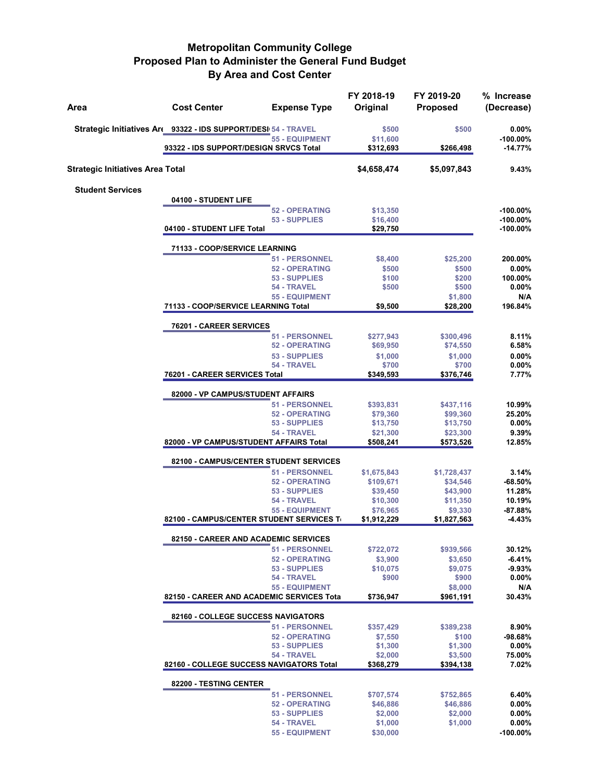| Area                                    | <b>Cost Center</b>                                            | <b>Expense Type</b>                    | FY 2018-19<br>Original  | FY 2019-20<br><b>Proposed</b> | % Increase<br>(Decrease)   |
|-----------------------------------------|---------------------------------------------------------------|----------------------------------------|-------------------------|-------------------------------|----------------------------|
|                                         | Strategic Initiatives Ar 93322 - IDS SUPPORT/DESI 54 - TRAVEL | <b>55 - EQUIPMENT</b>                  | \$500<br>\$11,600       | \$500                         | $0.00\%$<br>$-100.00\%$    |
|                                         | 93322 - IDS SUPPORT/DESIGN SRVCS Total                        |                                        | \$312,693               | \$266,498                     | $-14.77%$                  |
| <b>Strategic Initiatives Area Total</b> |                                                               |                                        | \$4,658,474             | \$5,097,843                   | 9.43%                      |
| <b>Student Services</b>                 |                                                               |                                        |                         |                               |                            |
|                                         | 04100 - STUDENT LIFE                                          |                                        |                         |                               |                            |
|                                         |                                                               | <b>52 - OPERATING</b><br>53 - SUPPLIES | \$13,350<br>\$16,400    |                               | $-100.00\%$<br>$-100.00\%$ |
|                                         | 04100 - STUDENT LIFE Total                                    |                                        | \$29,750                |                               | -100.00%                   |
|                                         | 71133 - COOP/SERVICE LEARNING                                 |                                        |                         |                               |                            |
|                                         |                                                               | 51 - PERSONNEL                         | \$8,400                 | \$25,200                      | 200.00%                    |
|                                         |                                                               | <b>52 - OPERATING</b>                  | \$500                   | \$500                         | $0.00\%$                   |
|                                         |                                                               | 53 - SUPPLIES                          | \$100                   | \$200                         | 100.00%                    |
|                                         |                                                               | 54 - TRAVEL                            | \$500                   | \$500                         | $0.00\%$                   |
|                                         | 71133 - COOP/SERVICE LEARNING Total                           | <b>55 - EQUIPMENT</b>                  | \$9,500                 | \$1,800<br>\$28,200           | N/A<br>196.84%             |
|                                         | 76201 - CAREER SERVICES                                       |                                        |                         |                               |                            |
|                                         |                                                               | <b>51 - PERSONNEL</b>                  | \$277,943               | \$300,496                     | 8.11%                      |
|                                         |                                                               | <b>52 - OPERATING</b>                  | \$69,950                | \$74,550                      | 6.58%                      |
|                                         |                                                               | 53 - SUPPLIES                          | \$1,000                 | \$1,000                       | 0.00%                      |
|                                         |                                                               | 54 - TRAVEL                            | \$700                   | \$700                         | 0.00%                      |
|                                         | 76201 - CAREER SERVICES Total                                 |                                        | \$349,593               | \$376,746                     | 7.77%                      |
|                                         | 82000 - VP CAMPUS/STUDENT AFFAIRS                             |                                        |                         |                               |                            |
|                                         |                                                               | <b>51 - PERSONNEL</b>                  | \$393,831               | \$437,116                     | 10.99%                     |
|                                         |                                                               | <b>52 - OPERATING</b>                  | \$79,360                | \$99,360                      | 25.20%                     |
|                                         |                                                               | 53 - SUPPLIES<br>54 - TRAVEL           | \$13,750<br>\$21,300    | \$13,750<br>\$23,300          | $0.00\%$<br>9.39%          |
|                                         | 82000 - VP CAMPUS/STUDENT AFFAIRS Total                       |                                        | \$508,241               | \$573,526                     | 12.85%                     |
|                                         | 82100 - CAMPUS/CENTER STUDENT SERVICES                        |                                        |                         |                               |                            |
|                                         |                                                               | 51 - PERSONNEL                         | \$1,675,843             | \$1,728,437                   | 3.14%                      |
|                                         |                                                               | <b>52 - OPERATING</b>                  | \$109,671               | \$34,546                      | $-68.50%$                  |
|                                         |                                                               | 53 - SUPPLIES                          | \$39,450                | \$43,900                      | 11.28%                     |
|                                         |                                                               | 54 - TRAVEL                            | \$10,300                | \$11,350                      | 10.19%                     |
|                                         | 82100 - CAMPUS/CENTER STUDENT SERVICES To                     | <b>55 - EQUIPMENT</b>                  | \$76,965<br>\$1,912,229 | \$9,330<br>\$1,827,563        | $-87.88%$<br>$-4.43%$      |
|                                         |                                                               |                                        |                         |                               |                            |
|                                         | 82150 - CAREER AND ACADEMIC SERVICES                          | <b>51 - PERSONNEL</b>                  | \$722,072               | \$939,566                     | 30.12%                     |
|                                         |                                                               | <b>52 - OPERATING</b>                  | \$3,900                 | \$3,650                       | $-6.41%$                   |
|                                         |                                                               | 53 - SUPPLIES                          | \$10,075                | \$9,075                       | $-9.93%$                   |
|                                         |                                                               | 54 - TRAVEL                            | \$900                   | \$900                         | 0.00%                      |
|                                         |                                                               | <b>55 - EQUIPMENT</b>                  |                         | \$8,000                       | N/A                        |
|                                         | 82150 - CAREER AND ACADEMIC SERVICES Tota                     |                                        | \$736,947               | \$961,191                     | 30.43%                     |
|                                         | 82160 - COLLEGE SUCCESS NAVIGATORS                            |                                        |                         |                               |                            |
|                                         |                                                               | <b>51 - PERSONNEL</b>                  | \$357,429               | \$389,238                     | 8.90%                      |
|                                         |                                                               | <b>52 - OPERATING</b>                  | \$7,550                 | \$100                         | $-98.68%$                  |
|                                         |                                                               | 53 - SUPPLIES<br>54 - TRAVEL           | \$1,300                 | \$1,300                       | $0.00\%$<br>75.00%         |
|                                         | 82160 - COLLEGE SUCCESS NAVIGATORS Total                      |                                        | \$2,000<br>\$368,279    | \$3,500<br>\$394,138          | 7.02%                      |
|                                         | 82200 - TESTING CENTER                                        |                                        |                         |                               |                            |
|                                         |                                                               | 51 - PERSONNEL                         | \$707,574               | \$752,865                     | 6.40%                      |
|                                         |                                                               | <b>52 - OPERATING</b>                  | \$46,886                | \$46,886                      | 0.00%                      |
|                                         |                                                               | 53 - SUPPLIES                          | \$2,000                 | \$2,000                       | $0.00\%$                   |
|                                         |                                                               | 54 - TRAVEL                            | \$1,000                 | \$1,000                       | $0.00\%$                   |
|                                         |                                                               | <b>55 - EQUIPMENT</b>                  | \$30,000                |                               | $-100.00\%$                |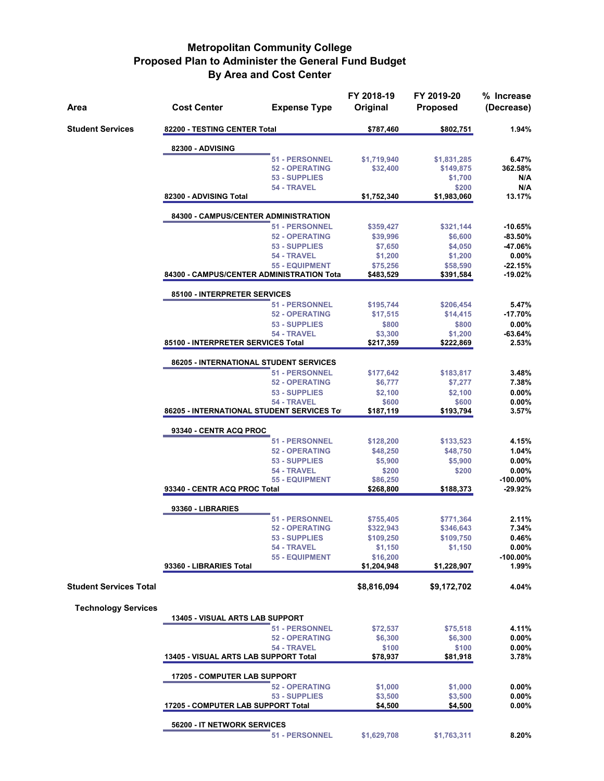| Area                          | <b>Cost Center</b>                        | <b>Expense Type</b>          | FY 2018-19<br>Original | FY 2019-20<br><b>Proposed</b> | % Increase<br>(Decrease) |  |
|-------------------------------|-------------------------------------------|------------------------------|------------------------|-------------------------------|--------------------------|--|
| <b>Student Services</b>       | 82200 - TESTING CENTER Total              |                              | \$787,460              | \$802,751                     | 1.94%                    |  |
|                               | 82300 - ADVISING                          |                              |                        |                               |                          |  |
|                               |                                           | <b>51 - PERSONNEL</b>        | \$1,719,940            | \$1,831,285                   | 6.47%                    |  |
|                               |                                           | <b>52 - OPERATING</b>        | \$32,400               | \$149,875                     | 362.58%                  |  |
|                               |                                           | 53 - SUPPLIES                |                        | \$1,700                       | N/A                      |  |
|                               |                                           | 54 - TRAVEL                  |                        | \$200                         | N/A                      |  |
|                               | 82300 - ADVISING Total                    |                              | \$1,752,340            | \$1,983,060                   | 13.17%                   |  |
|                               | 84300 - CAMPUS/CENTER ADMINISTRATION      |                              |                        |                               |                          |  |
|                               |                                           | <b>51 - PERSONNEL</b>        | \$359,427              | \$321,144                     | $-10.65%$                |  |
|                               |                                           | <b>52 - OPERATING</b>        | \$39,996               | \$6,600                       | $-83.50%$                |  |
|                               |                                           | 53 - SUPPLIES                | \$7,650                | \$4,050                       | -47.06%                  |  |
|                               |                                           | 54 - TRAVEL                  | \$1,200                | \$1,200                       | $0.00\%$                 |  |
|                               | 84300 - CAMPUS/CENTER ADMINISTRATION Tota | <b>55 - EQUIPMENT</b>        | \$75,256<br>\$483,529  | \$58,590<br>\$391,584         | $-22.15%$<br>-19.02%     |  |
|                               |                                           |                              |                        |                               |                          |  |
|                               | 85100 - INTERPRETER SERVICES              | <b>51 - PERSONNEL</b>        | \$195,744              | \$206,454                     | 5.47%                    |  |
|                               |                                           | <b>52 - OPERATING</b>        | \$17,515               | \$14,415                      | $-17.70%$                |  |
|                               |                                           | 53 - SUPPLIES                | \$800                  | \$800                         | 0.00%                    |  |
|                               |                                           | 54 - TRAVEL                  | \$3,300                | \$1,200                       | $-63.64%$                |  |
|                               | 85100 - INTERPRETER SERVICES Total        |                              | \$217,359              | \$222,869                     | 2.53%                    |  |
|                               | 86205 - INTERNATIONAL STUDENT SERVICES    |                              |                        |                               |                          |  |
|                               |                                           | <b>51 - PERSONNEL</b>        | \$177,642              | \$183,817                     | 3.48%                    |  |
|                               |                                           | <b>52 - OPERATING</b>        | \$6,777                | \$7,277                       | 7.38%                    |  |
|                               |                                           | 53 - SUPPLIES                | \$2,100                | \$2,100                       | 0.00%                    |  |
|                               |                                           | 54 - TRAVEL                  | \$600                  | \$600                         | 0.00%                    |  |
|                               | 86205 - INTERNATIONAL STUDENT SERVICES To |                              | \$187,119              | \$193,794                     | $3.57\%$                 |  |
|                               | 93340 - CENTR ACQ PROC                    |                              |                        |                               |                          |  |
|                               |                                           | 51 - PERSONNEL               | \$128,200              | \$133,523                     | 4.15%                    |  |
|                               |                                           | <b>52 - OPERATING</b>        | \$48,250               | \$48,750                      | 1.04%                    |  |
|                               |                                           | 53 - SUPPLIES                | \$5,900                | \$5,900                       | $0.00\%$                 |  |
|                               |                                           | 54 - TRAVEL                  | \$200                  | \$200                         | $0.00\%$                 |  |
|                               |                                           | <b>55 - EQUIPMENT</b>        | \$86,250               |                               | $-100.00\%$              |  |
|                               | 93340 - CENTR ACQ PROC Total              |                              | \$268,800              | \$188,373                     | $-29.92%$                |  |
|                               | 93360 - LIBRARIES                         |                              |                        |                               |                          |  |
|                               |                                           | 51 - PERSONNEL               | \$755,405              | \$771,364                     | 2.11%                    |  |
|                               |                                           | <b>52 - OPERATING</b>        | \$322,943              | \$346,643                     | 7.34%                    |  |
|                               |                                           | 53 - SUPPLIES<br>54 - TRAVEL | \$109,250              | \$109,750                     | 0.46%<br>$0.00\%$        |  |
|                               |                                           | <b>55 - EQUIPMENT</b>        | \$1,150<br>\$16,200    | \$1,150                       | -100.00%                 |  |
|                               | 93360 - LIBRARIES Total                   |                              | \$1,204,948            | \$1,228,907                   | 1.99%                    |  |
| <b>Student Services Total</b> |                                           |                              | \$8,816,094            | \$9,172,702                   | 4.04%                    |  |
|                               |                                           |                              |                        |                               |                          |  |
| <b>Technology Services</b>    | <b>13405 - VISUAL ARTS LAB SUPPORT</b>    |                              |                        |                               |                          |  |
|                               |                                           | <b>51 - PERSONNEL</b>        | \$72,537               | \$75,518                      | 4.11%                    |  |
|                               |                                           | <b>52 - OPERATING</b>        | \$6,300                | \$6,300                       | $0.00\%$                 |  |
|                               |                                           | 54 - TRAVEL                  | \$100                  | \$100                         | $0.00\%$                 |  |
|                               | 13405 - VISUAL ARTS LAB SUPPORT Total     |                              | \$78,937               | \$81,918                      | 3.78%                    |  |
|                               | <b>17205 - COMPUTER LAB SUPPORT</b>       |                              |                        |                               |                          |  |
|                               |                                           | <b>52 - OPERATING</b>        | \$1,000                | \$1,000                       | $0.00\%$                 |  |
|                               |                                           | 53 - SUPPLIES                | \$3,500                | \$3,500                       | $0.00\%$                 |  |
|                               | 17205 - COMPUTER LAB SUPPORT Total        |                              | \$4,500                | \$4,500                       | $0.00\%$                 |  |
|                               | 56200 - IT NETWORK SERVICES               |                              |                        |                               |                          |  |
|                               |                                           | 51 - PERSONNEL               | \$1,629,708            | \$1,763,311                   | 8.20%                    |  |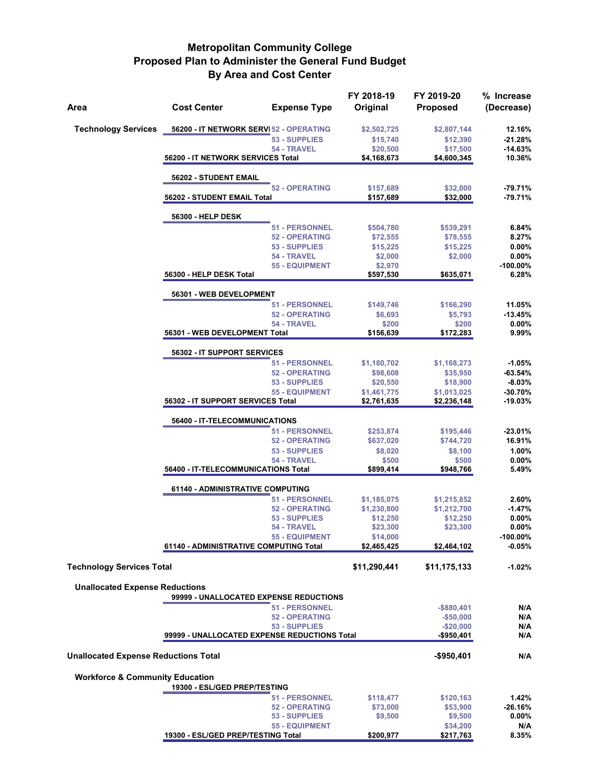| Area                                        | <b>Cost Center</b>                     | <b>Expense Type</b>                            | FY 2018-19<br>Original  | FY 2019-20<br><b>Proposed</b> | % Increase<br>(Decrease) |  |  |  |
|---------------------------------------------|----------------------------------------|------------------------------------------------|-------------------------|-------------------------------|--------------------------|--|--|--|
| <b>Technology Services</b>                  |                                        | 56200 - IT NETWORK SERVI 52 - OPERATING        | \$2,502,725             | \$2,807,144                   | 12.16%                   |  |  |  |
|                                             |                                        | 53 - SUPPLIES                                  | \$15,740                | \$12,390                      | -21.28%                  |  |  |  |
|                                             |                                        | 54 - TRAVEL                                    | \$20,500                | \$17,500                      | $-14.63%$                |  |  |  |
|                                             | 56200 - IT NETWORK SERVICES Total      |                                                | \$4,168,673             | \$4,600,345                   | 10.36%                   |  |  |  |
|                                             | 56202 - STUDENT EMAIL                  |                                                |                         |                               |                          |  |  |  |
|                                             | 56202 - STUDENT EMAIL Total            | <b>52 - OPERATING</b>                          | \$157,689<br>\$157,689  | \$32,000<br>\$32,000          | -79.71%<br>-79.71%       |  |  |  |
|                                             | 56300 - HELP DESK                      |                                                |                         |                               |                          |  |  |  |
|                                             |                                        | 51 - PERSONNEL                                 | \$504,780               | \$539,291                     | 6.84%                    |  |  |  |
|                                             |                                        | <b>52 - OPERATING</b>                          | \$72,555                | \$78,555                      | 8.27%                    |  |  |  |
|                                             |                                        | 53 - SUPPLIES                                  | \$15,225                | \$15,225                      | $0.00\%$                 |  |  |  |
|                                             |                                        | 54 - TRAVEL                                    | \$2,000                 | \$2,000                       | $0.00\%$                 |  |  |  |
|                                             | 56300 - HELP DESK Total                | <b>55 - EQUIPMENT</b>                          | \$2,970<br>\$597,530    | \$635,071                     | -100.00%<br>6.28%        |  |  |  |
|                                             | 56301 - WEB DEVELOPMENT                |                                                |                         |                               |                          |  |  |  |
|                                             |                                        | <b>51 - PERSONNEL</b>                          | \$149,746               | \$166,290                     | 11.05%                   |  |  |  |
|                                             |                                        | <b>52 - OPERATING</b>                          | \$6,693                 | \$5,793                       | $-13.45%$                |  |  |  |
|                                             |                                        | 54 - TRAVEL                                    | \$200                   | \$200                         | $0.00\%$                 |  |  |  |
|                                             | 56301 - WEB DEVELOPMENT Total          |                                                | \$156,639               | \$172,283                     | 9.99%                    |  |  |  |
|                                             | 56302 - IT SUPPORT SERVICES            |                                                |                         |                               |                          |  |  |  |
|                                             |                                        | 51 - PERSONNEL                                 | \$1,180,702             | \$1,168,273                   | $-1.05%$                 |  |  |  |
|                                             |                                        | <b>52 - OPERATING</b><br>53 - SUPPLIES         | \$98,608                | \$35,950                      | $-63.54%$<br>$-8.03%$    |  |  |  |
|                                             |                                        | <b>55 - EQUIPMENT</b>                          | \$20,550<br>\$1,461,775 | \$18,900<br>\$1,013,025       | $-30.70%$                |  |  |  |
|                                             | 56302 - IT SUPPORT SERVICES Total      |                                                | \$2,761,635             | \$2,236,148                   | -19.03%                  |  |  |  |
|                                             | 56400 - IT-TELECOMMUNICATIONS          |                                                |                         |                               |                          |  |  |  |
|                                             |                                        | 51 - PERSONNEL                                 | \$253,874               | \$195,446                     | $-23.01%$                |  |  |  |
|                                             |                                        | <b>52 - OPERATING</b>                          | \$637,020               | \$744,720                     | 16.91%                   |  |  |  |
|                                             |                                        | 53 - SUPPLIES                                  | \$8,020                 | \$8,100                       | 1.00%                    |  |  |  |
|                                             | 56400 - IT-TELECOMMUNICATIONS Total    | 54 - TRAVEL                                    | \$500<br>\$899,414      | \$500<br>\$948,766            | $0.00\%$<br>5.49%        |  |  |  |
|                                             | 61140 - ADMINISTRATIVE COMPUTING       |                                                |                         |                               |                          |  |  |  |
|                                             |                                        | <b>51 - PERSONNEL</b>                          | \$1,185,075             | \$1,215,852                   | 2.60%                    |  |  |  |
|                                             |                                        | <b>52 - OPERATING</b>                          | \$1,230,800             | \$1,212,700                   | $-1.47%$                 |  |  |  |
|                                             |                                        | <b>53 - SUPPLIES</b>                           | \$12,250                | \$12,250                      | $0.00\%$                 |  |  |  |
|                                             |                                        | 54 - TRAVEL                                    | \$23,300                | \$23,300                      | $0.00\%$                 |  |  |  |
|                                             |                                        | <u>55 - EQUIPMENT</u>                          | \$14,000                |                               | -100.00%                 |  |  |  |
|                                             | 61140 - ADMINISTRATIVE COMPUTING Total |                                                | \$2,465,425             | \$2,464,102                   | $-0.05%$                 |  |  |  |
| <b>Technology Services Total</b>            |                                        |                                                | \$11,290,441            | \$11,175,133                  | $-1.02%$                 |  |  |  |
| <b>Unallocated Expense Reductions</b>       |                                        |                                                |                         |                               |                          |  |  |  |
|                                             |                                        | 99999 - UNALLOCATED EXPENSE REDUCTIONS         |                         |                               |                          |  |  |  |
|                                             |                                        | <b>51 - PERSONNEL</b><br><b>52 - OPERATING</b> |                         | $-$880,401$                   | N/A<br>N/A               |  |  |  |
|                                             |                                        | 53 - SUPPLIES                                  |                         | $-$50,000$<br>$-$20,000$      | N/A                      |  |  |  |
|                                             |                                        | 99999 - UNALLOCATED EXPENSE REDUCTIONS Total   |                         | -\$950,401                    | N/A                      |  |  |  |
|                                             |                                        |                                                |                         |                               |                          |  |  |  |
| <b>Unallocated Expense Reductions Total</b> |                                        |                                                |                         | $-$950,401$                   | N/A                      |  |  |  |
| <b>Workforce &amp; Community Education</b>  | 19300 - ESL/GED PREP/TESTING           |                                                |                         |                               |                          |  |  |  |
|                                             |                                        | 51 - PERSONNEL                                 | \$118,477               | \$120,163                     | 1.42%                    |  |  |  |
|                                             |                                        | <b>52 - OPERATING</b>                          | \$73,000                | \$53,900                      | $-26.16%$                |  |  |  |
|                                             |                                        | 53 - SUPPLIES                                  | \$9,500                 | \$9,500                       | $0.00\%$                 |  |  |  |
|                                             |                                        | <b>55 - EQUIPMENT</b>                          |                         | \$34,200                      | N/A                      |  |  |  |
|                                             | 19300 - ESL/GED PREP/TESTING Total     |                                                | \$200,977               | \$217,763                     | 8.35%                    |  |  |  |